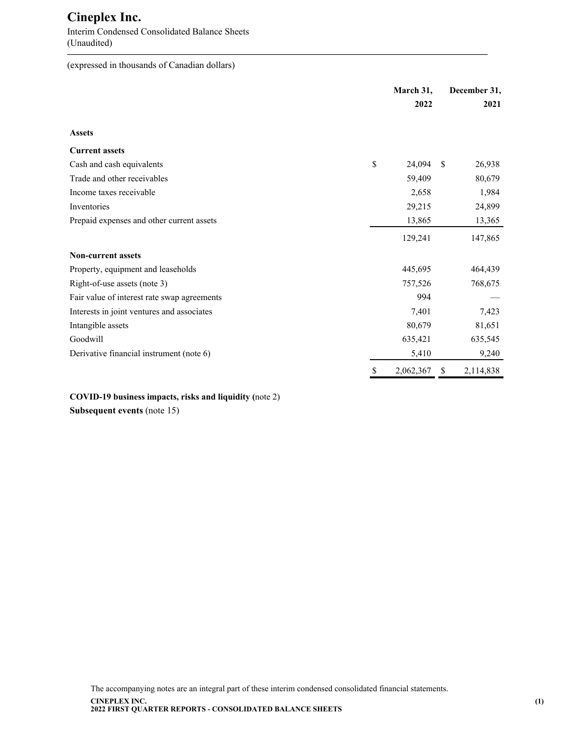Interim Condensed Consolidated Balance Sheets (Unaudited) **—————————————————————————————————————————————**

(expressed in thousands of Canadian dollars)

|                                             | March 31,       |               | December 31, |
|---------------------------------------------|-----------------|---------------|--------------|
|                                             | 2022            |               | 2021         |
| <b>Assets</b>                               |                 |               |              |
| <b>Current assets</b>                       |                 |               |              |
| Cash and cash equivalents                   | \$<br>24,094    | <sup>\$</sup> | 26,938       |
| Trade and other receivables                 | 59,409          |               | 80,679       |
| Income taxes receivable                     | 2,658           |               | 1,984        |
| Inventories                                 | 29,215          |               | 24,899       |
| Prepaid expenses and other current assets   | 13,865          |               | 13,365       |
|                                             | 129,241         |               | 147,865      |
| <b>Non-current assets</b>                   |                 |               |              |
| Property, equipment and leaseholds          | 445,695         |               | 464,439      |
| Right-of-use assets (note 3)                | 757,526         |               | 768,675      |
| Fair value of interest rate swap agreements | 994             |               |              |
| Interests in joint ventures and associates  | 7,401           |               | 7,423        |
| Intangible assets                           | 80,679          |               | 81,651       |
| Goodwill                                    | 635,421         |               | 635,545      |
| Derivative financial instrument (note 6)    | 5,410           |               | 9,240        |
|                                             | \$<br>2,062,367 | \$            | 2,114,838    |

**COVID-19 business impacts, risks and liquidity (**note 2)

**Subsequent events** (note 15)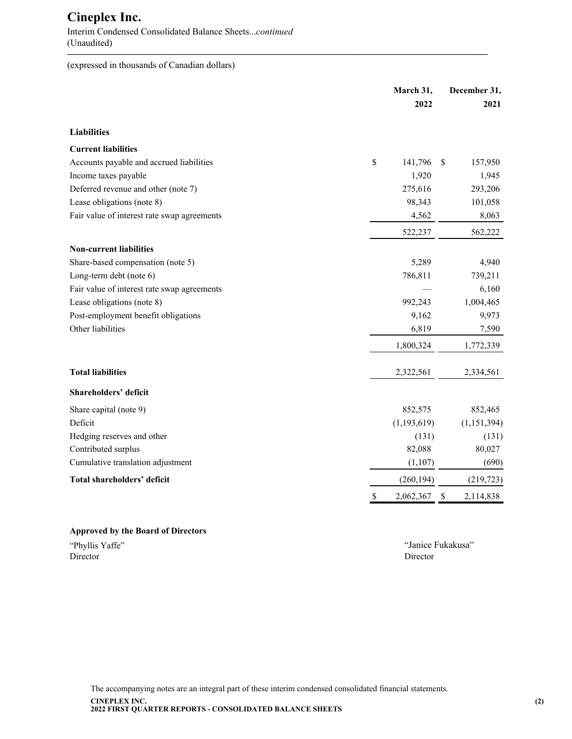Interim Condensed Consolidated Balance Sheets...*continued* (Unaudited)

(expressed in thousands of Canadian dollars)

|                                             | March 31,       | December 31,  |               |
|---------------------------------------------|-----------------|---------------|---------------|
|                                             | 2022            |               | 2021          |
| <b>Liabilities</b>                          |                 |               |               |
| <b>Current liabilities</b>                  |                 |               |               |
| Accounts payable and accrued liabilities    | \$<br>141,796   | <sup>\$</sup> | 157,950       |
| Income taxes payable                        | 1,920           |               | 1,945         |
| Deferred revenue and other (note 7)         | 275,616         |               | 293,206       |
| Lease obligations (note 8)                  | 98,343          |               | 101,058       |
| Fair value of interest rate swap agreements | 4,562           |               | 8,063         |
|                                             | 522,237         |               | 562,222       |
| <b>Non-current liabilities</b>              |                 |               |               |
| Share-based compensation (note 5)           | 5,289           |               | 4,940         |
| Long-term debt (note 6)                     | 786,811         |               | 739,211       |
| Fair value of interest rate swap agreements |                 |               | 6,160         |
| Lease obligations (note 8)                  | 992,243         |               | 1,004,465     |
| Post-employment benefit obligations         | 9,162           |               | 9,973         |
| Other liabilities                           | 6,819           |               | 7,590         |
|                                             | 1,800,324       |               | 1,772,339     |
| <b>Total liabilities</b>                    | 2,322,561       |               | 2,334,561     |
| Shareholders' deficit                       |                 |               |               |
| Share capital (note 9)                      | 852,575         |               | 852,465       |
| Deficit                                     | (1, 193, 619)   |               | (1, 151, 394) |
| Hedging reserves and other                  | (131)           |               | (131)         |
| Contributed surplus                         | 82,088          |               | 80,027        |
| Cumulative translation adjustment           | (1,107)         |               | (690)         |
| Total shareholders' deficit                 | (260, 194)      |               | (219, 723)    |
|                                             | \$<br>2,062,367 | $\mathbb{S}$  | 2,114,838     |

**—————————————————————————————————————————————**

### **Approved by the Board of Directors**

"Phyllis Yaffe" "Janice Fukakusa" Director Director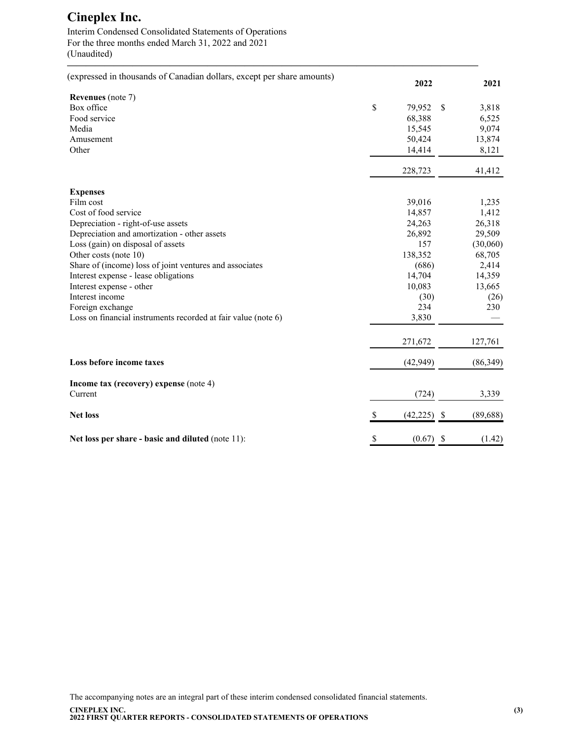Interim Condensed Consolidated Statements of Operations For the three months ended March 31, 2022 and 2021 (Unaudited)

| (expressed in thousands of Canadian dollars, except per share amounts) |    | 2022        |      | 2021      |
|------------------------------------------------------------------------|----|-------------|------|-----------|
| <b>Revenues</b> (note 7)                                               |    |             |      |           |
| Box office                                                             | \$ | 79,952      | -S   | 3,818     |
| Food service                                                           |    | 68,388      |      | 6,525     |
| Media                                                                  |    | 15,545      |      | 9,074     |
| Amusement                                                              |    | 50,424      |      | 13,874    |
| Other                                                                  |    | 14,414      |      | 8,121     |
|                                                                        |    | 228,723     |      | 41,412    |
| <b>Expenses</b>                                                        |    |             |      |           |
| Film cost                                                              |    | 39,016      |      | 1,235     |
| Cost of food service                                                   |    | 14,857      |      | 1,412     |
| Depreciation - right-of-use assets                                     |    | 24,263      |      | 26,318    |
| Depreciation and amortization - other assets                           |    | 26,892      |      | 29,509    |
| Loss (gain) on disposal of assets                                      |    | 157         |      | (30,060)  |
| Other costs (note 10)                                                  |    | 138,352     |      | 68,705    |
| Share of (income) loss of joint ventures and associates                |    | (686)       |      | 2,414     |
| Interest expense - lease obligations                                   |    | 14,704      |      | 14,359    |
| Interest expense - other                                               |    | 10,083      |      | 13,665    |
| Interest income                                                        |    | (30)        |      | (26)      |
| Foreign exchange                                                       |    | 234         |      | 230       |
| Loss on financial instruments recorded at fair value (note 6)          |    | 3,830       |      |           |
|                                                                        |    | 271,672     |      | 127,761   |
| Loss before income taxes                                               |    | (42, 949)   |      | (86, 349) |
| Income tax (recovery) expense (note 4)                                 |    |             |      |           |
| Current                                                                |    | (724)       |      | 3,339     |
| <b>Net loss</b>                                                        | S  | (42, 225)   | - \$ | (89, 688) |
| Net loss per share - basic and diluted (note 11):                      | \$ | $(0.67)$ \$ |      | (1.42)    |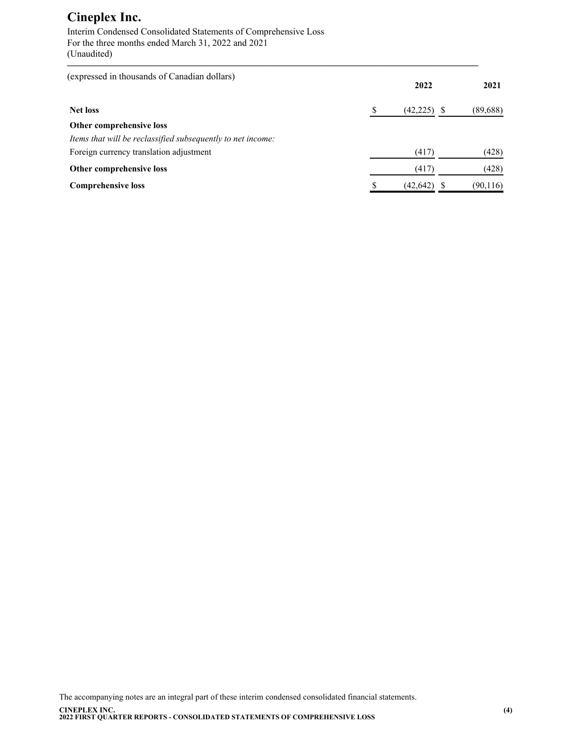Interim Condensed Consolidated Statements of Comprehensive Loss For the three months ended March 31, 2022 and 2021 (Unaudited)

| (expressed in thousands of Canadian dollars)                |    | 2022          | 2021      |
|-------------------------------------------------------------|----|---------------|-----------|
| <b>Net loss</b>                                             | S  | $(42,225)$ \$ | (89, 688) |
| Other comprehensive loss                                    |    |               |           |
| Items that will be reclassified subsequently to net income: |    |               |           |
| Foreign currency translation adjustment                     |    | (417)         | (428)     |
| Other comprehensive loss                                    |    | (417)         | (428)     |
| <b>Comprehensive loss</b>                                   | \$ | (42,642)      | (90, 116) |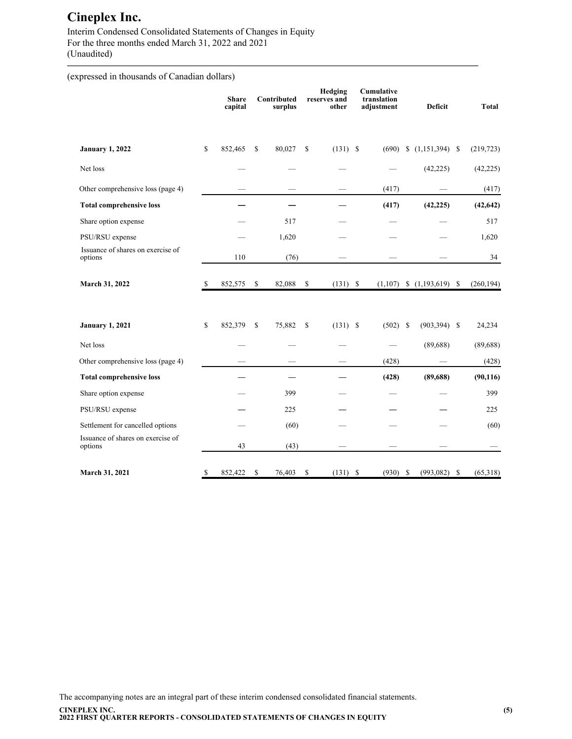Interim Condensed Consolidated Statements of Changes in Equity For the three months ended March 31, 2022 and 2021 (Unaudited)

(expressed in thousands of Canadian dollars)

|                                              |    | <b>Share</b><br>capital |              | Contributed<br>surplus |              | Hedging<br>reserves and<br>other |          | Cumulative<br>translation<br>adjustment |               | <b>Deficit</b>   | <b>Total</b>   |
|----------------------------------------------|----|-------------------------|--------------|------------------------|--------------|----------------------------------|----------|-----------------------------------------|---------------|------------------|----------------|
| <b>January 1, 2022</b>                       | \$ | 852,465                 | $\mathbb{S}$ | 80,027                 | $\mathbb{S}$ | $(131)$ \$                       |          | (690)                                   |               | $(1,151,394)$ \$ | (219, 723)     |
| Net loss                                     |    |                         |              |                        |              |                                  |          |                                         |               | (42, 225)        | (42, 225)      |
| Other comprehensive loss (page 4)            |    |                         |              |                        |              |                                  |          | (417)                                   |               |                  | (417)          |
| <b>Total comprehensive loss</b>              |    |                         |              |                        |              |                                  |          | (417)                                   |               | (42, 225)        | (42, 642)      |
| Share option expense                         |    |                         |              | 517                    |              |                                  |          |                                         |               |                  | 517            |
| PSU/RSU expense                              |    |                         |              | 1,620                  |              |                                  |          |                                         |               |                  | 1,620          |
| Issuance of shares on exercise of<br>options |    | 110                     |              | (76)                   |              |                                  |          |                                         |               |                  | 34             |
| March 31, 2022                               | S  | 852,575                 | \$           | 82,088                 | \$           | (131)                            | - \$     | (1,107)                                 |               |                  | (260, 194)     |
| <b>January 1, 2021</b>                       | \$ | 852,379                 | $\mathbb{S}$ | 75,882                 | \$           | (131)                            | <b>S</b> | (502)                                   | <sup>\$</sup> | $(903, 394)$ \$  | 24,234         |
| Net loss                                     |    |                         |              |                        |              |                                  |          |                                         |               | (89, 688)        | (89, 688)      |
| Other comprehensive loss (page 4)            |    |                         |              |                        |              |                                  |          | (428)                                   |               |                  | (428)          |
| <b>Total comprehensive loss</b>              |    |                         |              |                        |              |                                  |          | (428)                                   |               | (89, 688)        | (90, 116)      |
| Share option expense                         |    |                         |              | 399                    |              |                                  |          |                                         |               |                  | 399            |
| PSU/RSU expense                              |    |                         |              | 225                    |              |                                  |          |                                         |               |                  | 225            |
| Settlement for cancelled options             |    |                         |              | (60)                   |              |                                  |          |                                         |               |                  | (60)           |
| Issuance of shares on exercise of<br>options |    | 43                      |              | (43)                   |              |                                  |          |                                         |               |                  |                |
| March 31, 2021                               | \$ | 852,422                 | \$           | 76,403                 | \$           | (131)                            | \$       | (930)                                   | \$            | (993, 082)       | \$<br>(65,318) |

**————————————————————————————————————————————**

The accompanying notes are an integral part of these interim condensed consolidated financial statements. **CINEPLEX INC. 2022 FIRST QUARTER REPORTS - CONSOLIDATED STATEMENTS OF CHANGES IN EQUITY**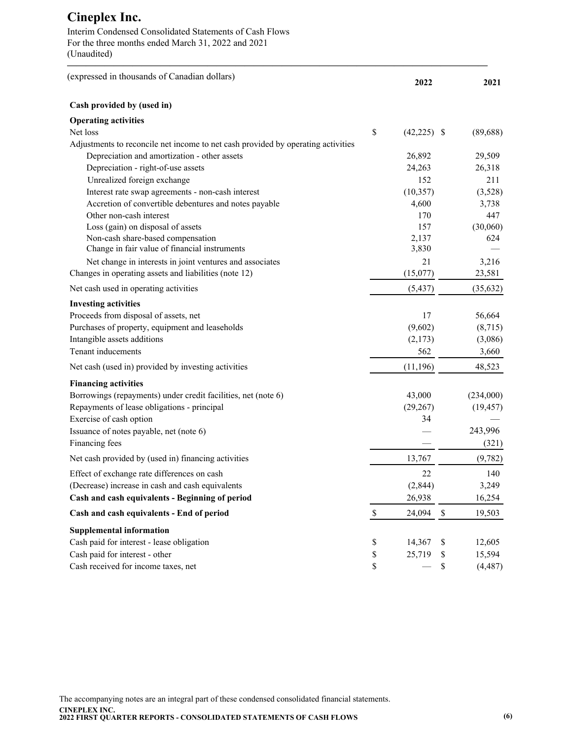Interim Condensed Consolidated Statements of Cash Flows For the three months ended March 31, 2022 and 2021 (Unaudited)

| (expressed in thousands of Canadian dollars)                                     |              | 2022          |              | 2021      |
|----------------------------------------------------------------------------------|--------------|---------------|--------------|-----------|
| Cash provided by (used in)                                                       |              |               |              |           |
| <b>Operating activities</b>                                                      |              |               |              |           |
| Net loss                                                                         | \$           | $(42,225)$ \$ |              | (89, 688) |
| Adjustments to reconcile net income to net cash provided by operating activities |              |               |              |           |
| Depreciation and amortization - other assets                                     |              | 26,892        |              | 29,509    |
| Depreciation - right-of-use assets                                               |              | 24,263        |              | 26,318    |
| Unrealized foreign exchange                                                      |              | 152           |              | 211       |
| Interest rate swap agreements - non-cash interest                                |              | (10, 357)     |              | (3,528)   |
| Accretion of convertible debentures and notes payable                            |              | 4,600         |              | 3,738     |
| Other non-cash interest                                                          |              | 170           |              | 447       |
| Loss (gain) on disposal of assets                                                |              | 157           |              | (30,060)  |
| Non-cash share-based compensation                                                |              | 2,137         |              | 624       |
| Change in fair value of financial instruments                                    |              | 3,830         |              |           |
| Net change in interests in joint ventures and associates                         |              | 21            |              | 3,216     |
| Changes in operating assets and liabilities (note 12)                            |              | (15,077)      |              | 23,581    |
| Net cash used in operating activities                                            |              | (5, 437)      |              | (35, 632) |
| <b>Investing activities</b>                                                      |              |               |              |           |
| Proceeds from disposal of assets, net                                            |              | 17            |              | 56,664    |
| Purchases of property, equipment and leaseholds                                  |              | (9,602)       |              | (8,715)   |
| Intangible assets additions                                                      |              | (2,173)       |              | (3,086)   |
| Tenant inducements                                                               |              | 562           |              | 3,660     |
| Net cash (used in) provided by investing activities                              |              | (11, 196)     |              | 48,523    |
| <b>Financing activities</b>                                                      |              |               |              |           |
| Borrowings (repayments) under credit facilities, net (note 6)                    |              | 43,000        |              | (234,000) |
| Repayments of lease obligations - principal                                      |              | (29, 267)     |              | (19, 457) |
| Exercise of cash option                                                          |              | 34            |              |           |
| Issuance of notes payable, net (note 6)                                          |              |               |              | 243,996   |
| Financing fees                                                                   |              |               |              | (321)     |
| Net cash provided by (used in) financing activities                              |              | 13,767        |              | (9,782)   |
| Effect of exchange rate differences on cash                                      |              | 22            |              | 140       |
| (Decrease) increase in cash and cash equivalents                                 |              | (2,844)       |              | 3,249     |
| Cash and cash equivalents - Beginning of period                                  |              | 26,938        |              | 16,254    |
| Cash and cash equivalents - End of period                                        | $\mathbb{S}$ | 24,094        | $\mathbb{S}$ | 19,503    |
| <b>Supplemental information</b>                                                  |              |               |              |           |
| Cash paid for interest - lease obligation                                        | \$           | 14,367        | \$           | 12,605    |
| Cash paid for interest - other                                                   | \$           | 25,719        | \$           | 15,594    |
| Cash received for income taxes, net                                              | \$           |               | \$           | (4, 487)  |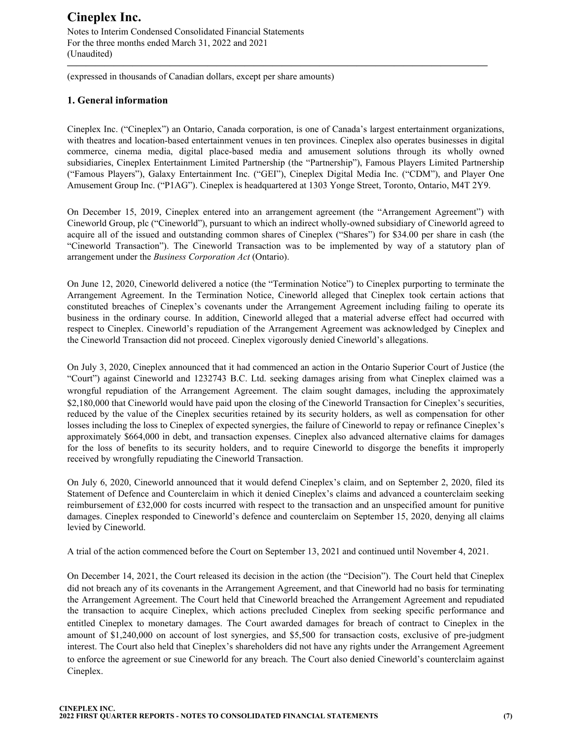Notes to Interim Condensed Consolidated Financial Statements For the three months ended March 31, 2022 and 2021 (Unaudited)

(expressed in thousands of Canadian dollars, except per share amounts)

### **1. General information**

Cineplex Inc. ("Cineplex") an Ontario, Canada corporation, is one of Canada's largest entertainment organizations, with theatres and location-based entertainment venues in ten provinces. Cineplex also operates businesses in digital commerce, cinema media, digital place-based media and amusement solutions through its wholly owned subsidiaries, Cineplex Entertainment Limited Partnership (the "Partnership"), Famous Players Limited Partnership ("Famous Players"), Galaxy Entertainment Inc. ("GEI"), Cineplex Digital Media Inc. ("CDM"), and Player One Amusement Group Inc. ("P1AG"). Cineplex is headquartered at 1303 Yonge Street, Toronto, Ontario, M4T 2Y9.

**—————————————————————————————————————————————**

On December 15, 2019, Cineplex entered into an arrangement agreement (the "Arrangement Agreement") with Cineworld Group, plc ("Cineworld"), pursuant to which an indirect wholly-owned subsidiary of Cineworld agreed to acquire all of the issued and outstanding common shares of Cineplex ("Shares") for \$34.00 per share in cash (the "Cineworld Transaction"). The Cineworld Transaction was to be implemented by way of a statutory plan of arrangement under the *Business Corporation Act* (Ontario).

On June 12, 2020, Cineworld delivered a notice (the "Termination Notice") to Cineplex purporting to terminate the Arrangement Agreement. In the Termination Notice, Cineworld alleged that Cineplex took certain actions that constituted breaches of Cineplex's covenants under the Arrangement Agreement including failing to operate its business in the ordinary course. In addition, Cineworld alleged that a material adverse effect had occurred with respect to Cineplex. Cineworld's repudiation of the Arrangement Agreement was acknowledged by Cineplex and the Cineworld Transaction did not proceed. Cineplex vigorously denied Cineworld's allegations.

On July 3, 2020, Cineplex announced that it had commenced an action in the Ontario Superior Court of Justice (the "Court") against Cineworld and 1232743 B.C. Ltd. seeking damages arising from what Cineplex claimed was a wrongful repudiation of the Arrangement Agreement. The claim sought damages, including the approximately \$2,180,000 that Cineworld would have paid upon the closing of the Cineworld Transaction for Cineplex's securities, reduced by the value of the Cineplex securities retained by its security holders, as well as compensation for other losses including the loss to Cineplex of expected synergies, the failure of Cineworld to repay or refinance Cineplex's approximately \$664,000 in debt, and transaction expenses. Cineplex also advanced alternative claims for damages for the loss of benefits to its security holders, and to require Cineworld to disgorge the benefits it improperly received by wrongfully repudiating the Cineworld Transaction.

On July 6, 2020, Cineworld announced that it would defend Cineplex's claim, and on September 2, 2020, filed its Statement of Defence and Counterclaim in which it denied Cineplex's claims and advanced a counterclaim seeking reimbursement of £32,000 for costs incurred with respect to the transaction and an unspecified amount for punitive damages. Cineplex responded to Cineworld's defence and counterclaim on September 15, 2020, denying all claims levied by Cineworld.

A trial of the action commenced before the Court on September 13, 2021 and continued until November 4, 2021.

On December 14, 2021, the Court released its decision in the action (the "Decision"). The Court held that Cineplex did not breach any of its covenants in the Arrangement Agreement, and that Cineworld had no basis for terminating the Arrangement Agreement. The Court held that Cineworld breached the Arrangement Agreement and repudiated the transaction to acquire Cineplex, which actions precluded Cineplex from seeking specific performance and entitled Cineplex to monetary damages. The Court awarded damages for breach of contract to Cineplex in the amount of \$1,240,000 on account of lost synergies, and \$5,500 for transaction costs, exclusive of pre-judgment interest. The Court also held that Cineplex's shareholders did not have any rights under the Arrangement Agreement to enforce the agreement or sue Cineworld for any breach. The Court also denied Cineworld's counterclaim against Cineplex.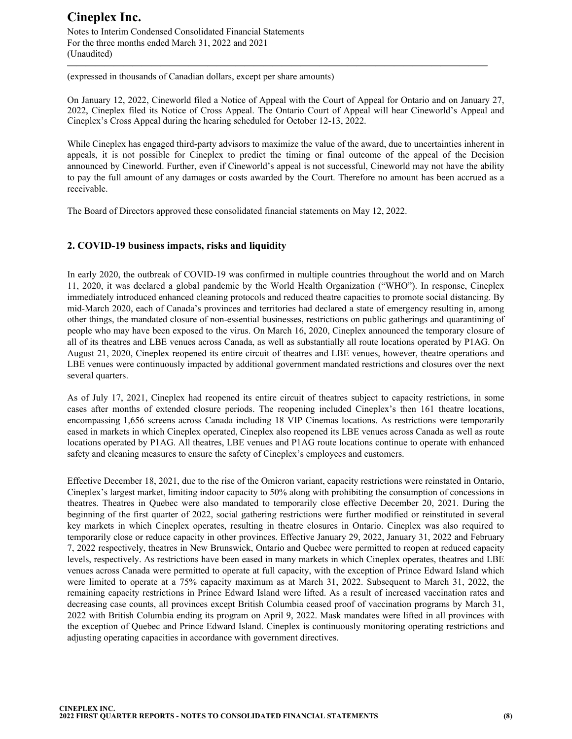Notes to Interim Condensed Consolidated Financial Statements For the three months ended March 31, 2022 and 2021 (Unaudited)

(expressed in thousands of Canadian dollars, except per share amounts)

On January 12, 2022, Cineworld filed a Notice of Appeal with the Court of Appeal for Ontario and on January 27, 2022, Cineplex filed its Notice of Cross Appeal. The Ontario Court of Appeal will hear Cineworld's Appeal and Cineplex's Cross Appeal during the hearing scheduled for October 12-13, 2022.

**—————————————————————————————————————————————**

While Cineplex has engaged third-party advisors to maximize the value of the award, due to uncertainties inherent in appeals, it is not possible for Cineplex to predict the timing or final outcome of the appeal of the Decision announced by Cineworld. Further, even if Cineworld's appeal is not successful, Cineworld may not have the ability to pay the full amount of any damages or costs awarded by the Court. Therefore no amount has been accrued as a receivable.

The Board of Directors approved these consolidated financial statements on May 12, 2022.

### **2. COVID-19 business impacts, risks and liquidity**

In early 2020, the outbreak of COVID-19 was confirmed in multiple countries throughout the world and on March 11, 2020, it was declared a global pandemic by the World Health Organization ("WHO"). In response, Cineplex immediately introduced enhanced cleaning protocols and reduced theatre capacities to promote social distancing. By mid-March 2020, each of Canada's provinces and territories had declared a state of emergency resulting in, among other things, the mandated closure of non-essential businesses, restrictions on public gatherings and quarantining of people who may have been exposed to the virus. On March 16, 2020, Cineplex announced the temporary closure of all of its theatres and LBE venues across Canada, as well as substantially all route locations operated by P1AG. On August 21, 2020, Cineplex reopened its entire circuit of theatres and LBE venues, however, theatre operations and LBE venues were continuously impacted by additional government mandated restrictions and closures over the next several quarters.

As of July 17, 2021, Cineplex had reopened its entire circuit of theatres subject to capacity restrictions, in some cases after months of extended closure periods. The reopening included Cineplex's then 161 theatre locations, encompassing 1,656 screens across Canada including 18 VIP Cinemas locations. As restrictions were temporarily eased in markets in which Cineplex operated, Cineplex also reopened its LBE venues across Canada as well as route locations operated by P1AG. All theatres, LBE venues and P1AG route locations continue to operate with enhanced safety and cleaning measures to ensure the safety of Cineplex's employees and customers.

Effective December 18, 2021, due to the rise of the Omicron variant, capacity restrictions were reinstated in Ontario, Cineplex's largest market, limiting indoor capacity to 50% along with prohibiting the consumption of concessions in theatres. Theatres in Quebec were also mandated to temporarily close effective December 20, 2021. During the beginning of the first quarter of 2022, social gathering restrictions were further modified or reinstituted in several key markets in which Cineplex operates, resulting in theatre closures in Ontario. Cineplex was also required to temporarily close or reduce capacity in other provinces. Effective January 29, 2022, January 31, 2022 and February 7, 2022 respectively, theatres in New Brunswick, Ontario and Quebec were permitted to reopen at reduced capacity levels, respectively. As restrictions have been eased in many markets in which Cineplex operates, theatres and LBE venues across Canada were permitted to operate at full capacity, with the exception of Prince Edward Island which were limited to operate at a 75% capacity maximum as at March 31, 2022. Subsequent to March 31, 2022, the remaining capacity restrictions in Prince Edward Island were lifted. As a result of increased vaccination rates and decreasing case counts, all provinces except British Columbia ceased proof of vaccination programs by March 31, 2022 with British Columbia ending its program on April 9, 2022. Mask mandates were lifted in all provinces with the exception of Quebec and Prince Edward Island. Cineplex is continuously monitoring operating restrictions and adjusting operating capacities in accordance with government directives.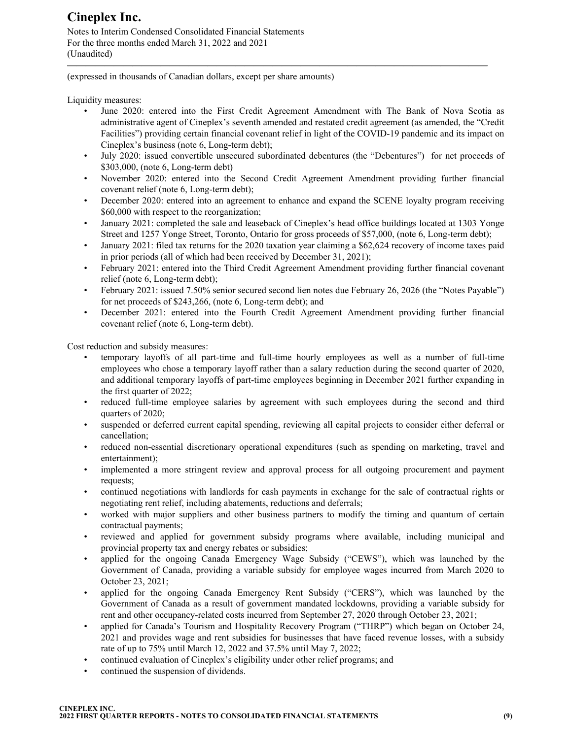Notes to Interim Condensed Consolidated Financial Statements For the three months ended March 31, 2022 and 2021 (Unaudited)

(expressed in thousands of Canadian dollars, except per share amounts)

Liquidity measures:

• June 2020: entered into the First Credit Agreement Amendment with The Bank of Nova Scotia as administrative agent of Cineplex's seventh amended and restated credit agreement (as amended, the "Credit Facilities") providing certain financial covenant relief in light of the COVID-19 pandemic and its impact on Cineplex's business (note 6, Long-term debt);

**—————————————————————————————————————————————**

- July 2020: issued convertible unsecured subordinated debentures (the "Debentures") for net proceeds of \$303,000, (note 6, Long-term debt)
- November 2020: entered into the Second Credit Agreement Amendment providing further financial covenant relief (note 6, Long-term debt);
- December 2020: entered into an agreement to enhance and expand the SCENE loyalty program receiving \$60,000 with respect to the reorganization;
- January 2021: completed the sale and leaseback of Cineplex's head office buildings located at 1303 Yonge Street and 1257 Yonge Street, Toronto, Ontario for gross proceeds of \$57,000, (note 6, Long-term debt);
- January 2021: filed tax returns for the 2020 taxation year claiming a \$62,624 recovery of income taxes paid in prior periods (all of which had been received by December 31, 2021);
- February 2021: entered into the Third Credit Agreement Amendment providing further financial covenant relief (note 6, Long-term debt);
- February 2021: issued 7.50% senior secured second lien notes due February 26, 2026 (the "Notes Payable") for net proceeds of \$243,266, (note 6, Long-term debt); and
- December 2021: entered into the Fourth Credit Agreement Amendment providing further financial covenant relief (note 6, Long-term debt).

Cost reduction and subsidy measures:

- temporary layoffs of all part-time and full-time hourly employees as well as a number of full-time employees who chose a temporary layoff rather than a salary reduction during the second quarter of 2020, and additional temporary layoffs of part-time employees beginning in December 2021 further expanding in the first quarter of 2022;
- reduced full-time employee salaries by agreement with such employees during the second and third quarters of 2020;
- suspended or deferred current capital spending, reviewing all capital projects to consider either deferral or cancellation;
- reduced non-essential discretionary operational expenditures (such as spending on marketing, travel and entertainment);
- implemented a more stringent review and approval process for all outgoing procurement and payment requests;
- continued negotiations with landlords for cash payments in exchange for the sale of contractual rights or negotiating rent relief, including abatements, reductions and deferrals;
- worked with major suppliers and other business partners to modify the timing and quantum of certain contractual payments;
- reviewed and applied for government subsidy programs where available, including municipal and provincial property tax and energy rebates or subsidies;
- applied for the ongoing Canada Emergency Wage Subsidy ("CEWS"), which was launched by the Government of Canada, providing a variable subsidy for employee wages incurred from March 2020 to October 23, 2021;
- applied for the ongoing Canada Emergency Rent Subsidy ("CERS"), which was launched by the Government of Canada as a result of government mandated lockdowns, providing a variable subsidy for rent and other occupancy-related costs incurred from September 27, 2020 through October 23, 2021;
- applied for Canada's Tourism and Hospitality Recovery Program ("THRP") which began on October 24, 2021 and provides wage and rent subsidies for businesses that have faced revenue losses, with a subsidy rate of up to 75% until March 12, 2022 and 37.5% until May 7, 2022;
- continued evaluation of Cineplex's eligibility under other relief programs; and
- continued the suspension of dividends.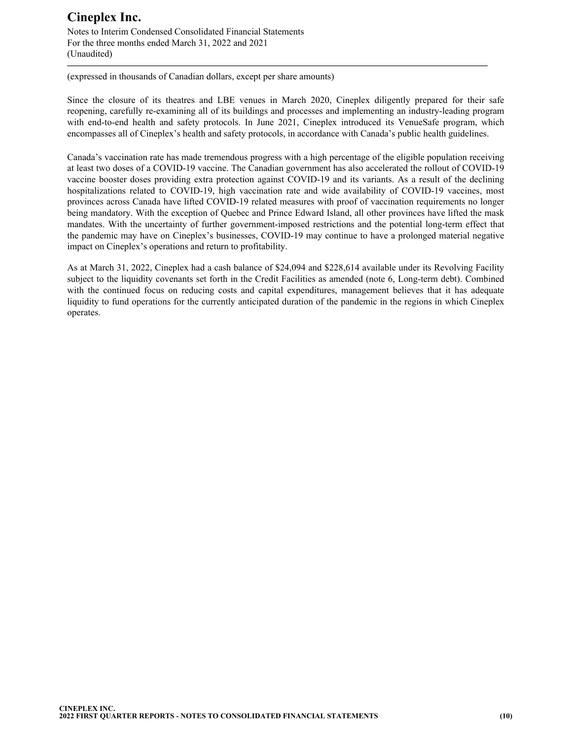Notes to Interim Condensed Consolidated Financial Statements For the three months ended March 31, 2022 and 2021 (Unaudited) **—————————————————————————————————————————————**

(expressed in thousands of Canadian dollars, except per share amounts)

Since the closure of its theatres and LBE venues in March 2020, Cineplex diligently prepared for their safe reopening, carefully re-examining all of its buildings and processes and implementing an industry-leading program with end-to-end health and safety protocols. In June 2021, Cineplex introduced its VenueSafe program, which encompasses all of Cineplex's health and safety protocols, in accordance with Canada's public health guidelines.

Canada's vaccination rate has made tremendous progress with a high percentage of the eligible population receiving at least two doses of a COVID-19 vaccine. The Canadian government has also accelerated the rollout of COVID-19 vaccine booster doses providing extra protection against COVID-19 and its variants. As a result of the declining hospitalizations related to COVID-19, high vaccination rate and wide availability of COVID-19 vaccines, most provinces across Canada have lifted COVID-19 related measures with proof of vaccination requirements no longer being mandatory. With the exception of Quebec and Prince Edward Island, all other provinces have lifted the mask mandates. With the uncertainty of further government-imposed restrictions and the potential long-term effect that the pandemic may have on Cineplex's businesses, COVID-19 may continue to have a prolonged material negative impact on Cineplex's operations and return to profitability.

As at March 31, 2022, Cineplex had a cash balance of \$24,094 and \$228,614 available under its Revolving Facility subject to the liquidity covenants set forth in the Credit Facilities as amended (note 6, Long-term debt). Combined with the continued focus on reducing costs and capital expenditures, management believes that it has adequate liquidity to fund operations for the currently anticipated duration of the pandemic in the regions in which Cineplex operates.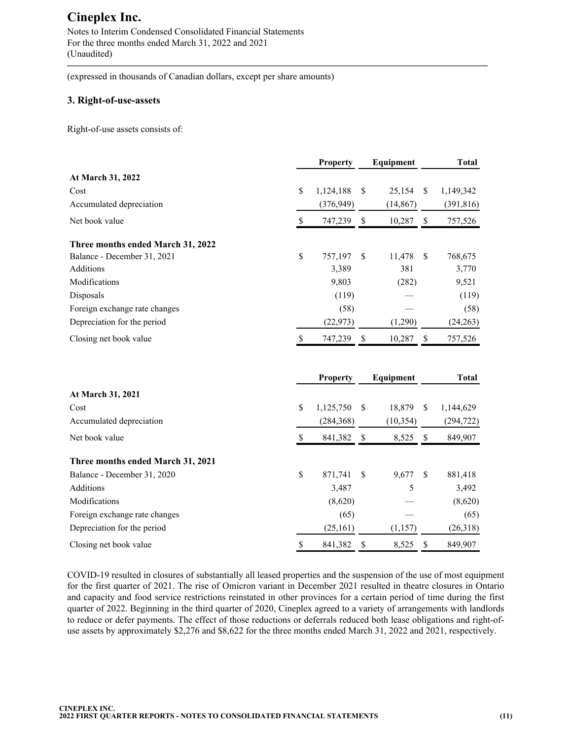Notes to Interim Condensed Consolidated Financial Statements For the three months ended March 31, 2022 and 2021 (Unaudited)

(expressed in thousands of Canadian dollars, except per share amounts)

### **3. Right-of-use-assets**

Right-of-use assets consists of:

|                                   | <b>Property</b> |               | Equipment |               | <b>Total</b> |
|-----------------------------------|-----------------|---------------|-----------|---------------|--------------|
| At March 31, 2022                 |                 |               |           |               |              |
| Cost                              | \$<br>1,124,188 | <sup>\$</sup> | 25,154    | <sup>\$</sup> | 1,149,342    |
| Accumulated depreciation          | (376, 949)      |               | (14, 867) |               | (391, 816)   |
| Net book value                    | \$<br>747,239   | S             | 10,287    | <sup>\$</sup> | 757,526      |
| Three months ended March 31, 2022 |                 |               |           |               |              |
| Balance - December 31, 2021       | \$<br>757,197   | -S            | 11,478    | -S            | 768,675      |
| Additions                         | 3,389           |               | 381       |               | 3,770        |
| Modifications                     | 9,803           |               | (282)     |               | 9,521        |
| Disposals                         | (119)           |               |           |               | (119)        |
| Foreign exchange rate changes     | (58)            |               |           |               | (58)         |
| Depreciation for the period       | (22, 973)       |               | (1,290)   |               | (24,263)     |
| Closing net book value            | 747,239         | S             | 10,287    | <sup>\$</sup> | 757,526      |
|                                   |                 |               |           |               |              |
|                                   | <b>Property</b> |               | Equipment |               | Total        |

**—————————————————————————————————————————————**

| At March 31, 2021                 |    |                |    |           |     |            |
|-----------------------------------|----|----------------|----|-----------|-----|------------|
| Cost                              | \$ | $1,125,750$ \$ |    | 18.879    | S   | 1,144,629  |
| Accumulated depreciation          |    | (284, 368)     |    | (10, 354) |     | (294, 722) |
| Net book value                    | S  | 841,382        | S  | 8,525     | -S  | 849,907    |
| Three months ended March 31, 2021 |    |                |    |           |     |            |
| Balance - December 31, 2020       | \$ | 871.741        | -S | 9,677     | -\$ | 881,418    |
| Additions                         |    | 3,487          |    | 5         |     | 3,492      |
| <b>Modifications</b>              |    | (8,620)        |    |           |     | (8,620)    |
| Foreign exchange rate changes     |    | (65)           |    |           |     | (65)       |
| Depreciation for the period       |    | (25,161)       |    | (1,157)   |     | (26,318)   |
| Closing net book value            | S  | 841,382        | S  | 8.525     | S   | 849.907    |

COVID-19 resulted in closures of substantially all leased properties and the suspension of the use of most equipment for the first quarter of 2021. The rise of Omicron variant in December 2021 resulted in theatre closures in Ontario and capacity and food service restrictions reinstated in other provinces for a certain period of time during the first quarter of 2022. Beginning in the third quarter of 2020, Cineplex agreed to a variety of arrangements with landlords to reduce or defer payments. The effect of those reductions or deferrals reduced both lease obligations and right-ofuse assets by approximately \$2,276 and \$8,622 for the three months ended March 31, 2022 and 2021, respectively.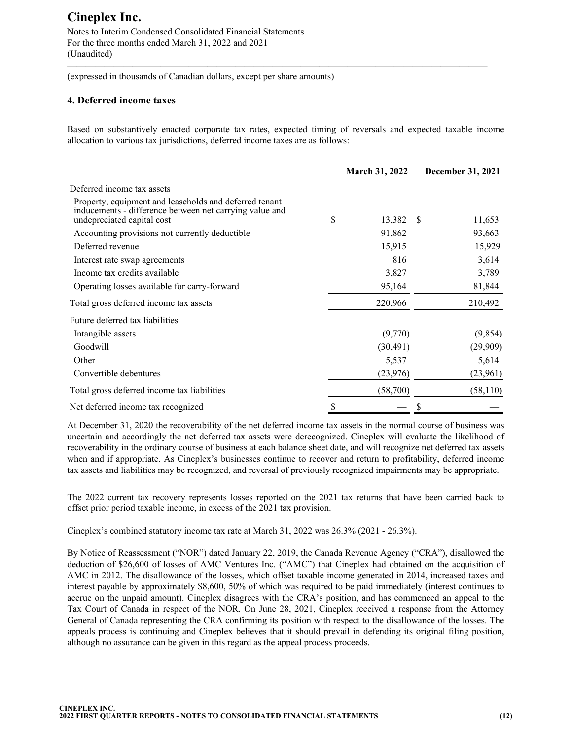Notes to Interim Condensed Consolidated Financial Statements For the three months ended March 31, 2022 and 2021 (Unaudited)

(expressed in thousands of Canadian dollars, except per share amounts)

### **4. Deferred income taxes**

Based on substantively enacted corporate tax rates, expected timing of reversals and expected taxable income allocation to various tax jurisdictions, deferred income taxes are as follows:

**—————————————————————————————————————————————**

|                                                                                                                                                 | <b>March 31, 2022</b> | <b>December 31, 2021</b> |
|-------------------------------------------------------------------------------------------------------------------------------------------------|-----------------------|--------------------------|
| Deferred income tax assets                                                                                                                      |                       |                          |
| Property, equipment and leaseholds and deferred tenant<br>inducements - difference between net carrying value and<br>undepreciated capital cost | \$<br>13,382          | - \$<br>11,653           |
| Accounting provisions not currently deductible                                                                                                  | 91,862                | 93,663                   |
| Deferred revenue                                                                                                                                | 15,915                | 15,929                   |
| Interest rate swap agreements                                                                                                                   | 816                   | 3,614                    |
| Income tax credits available                                                                                                                    | 3,827                 | 3,789                    |
| Operating losses available for carry-forward                                                                                                    | 95,164                | 81,844                   |
| Total gross deferred income tax assets                                                                                                          | 220,966               | 210,492                  |
| Future deferred tax liabilities                                                                                                                 |                       |                          |
| Intangible assets                                                                                                                               | (9,770)               | (9,854)                  |
| Goodwill                                                                                                                                        | (30, 491)             | (29,909)                 |
| Other                                                                                                                                           | 5,537                 | 5,614                    |
| Convertible debentures                                                                                                                          | (23, 976)             | (23,961)                 |
| Total gross deferred income tax liabilities                                                                                                     | (58,700)              | (58, 110)                |
| Net deferred income tax recognized                                                                                                              | \$                    | \$                       |

At December 31, 2020 the recoverability of the net deferred income tax assets in the normal course of business was uncertain and accordingly the net deferred tax assets were derecognized. Cineplex will evaluate the likelihood of recoverability in the ordinary course of business at each balance sheet date, and will recognize net deferred tax assets when and if appropriate. As Cineplex's businesses continue to recover and return to profitability, deferred income tax assets and liabilities may be recognized, and reversal of previously recognized impairments may be appropriate.

The 2022 current tax recovery represents losses reported on the 2021 tax returns that have been carried back to offset prior period taxable income, in excess of the 2021 tax provision.

Cineplex's combined statutory income tax rate at March 31, 2022 was 26.3% (2021 - 26.3%).

By Notice of Reassessment ("NOR") dated January 22, 2019, the Canada Revenue Agency ("CRA"), disallowed the deduction of \$26,600 of losses of AMC Ventures Inc. ("AMC") that Cineplex had obtained on the acquisition of AMC in 2012. The disallowance of the losses, which offset taxable income generated in 2014, increased taxes and interest payable by approximately \$8,600, 50% of which was required to be paid immediately (interest continues to accrue on the unpaid amount). Cineplex disagrees with the CRA's position, and has commenced an appeal to the Tax Court of Canada in respect of the NOR. On June 28, 2021, Cineplex received a response from the Attorney General of Canada representing the CRA confirming its position with respect to the disallowance of the losses. The appeals process is continuing and Cineplex believes that it should prevail in defending its original filing position, although no assurance can be given in this regard as the appeal process proceeds.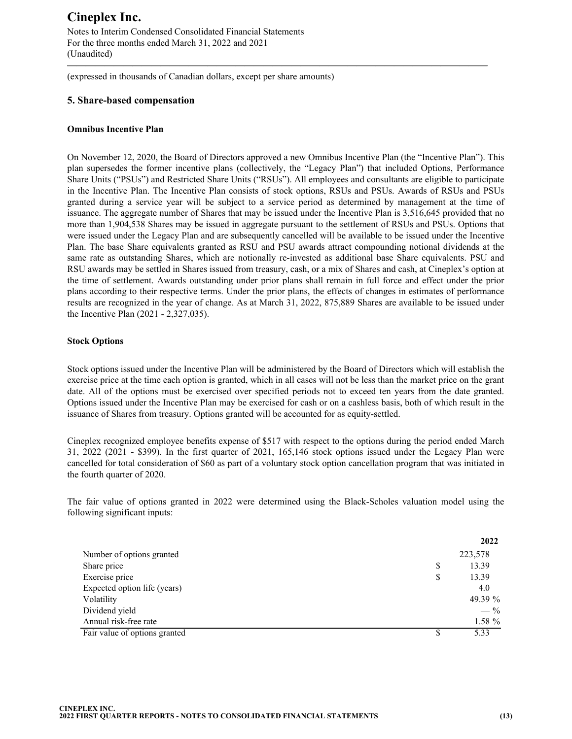Notes to Interim Condensed Consolidated Financial Statements For the three months ended March 31, 2022 and 2021 (Unaudited)

(expressed in thousands of Canadian dollars, except per share amounts)

### **5. Share-based compensation**

#### **Omnibus Incentive Plan**

On November 12, 2020, the Board of Directors approved a new Omnibus Incentive Plan (the "Incentive Plan"). This plan supersedes the former incentive plans (collectively, the "Legacy Plan") that included Options, Performance Share Units ("PSUs") and Restricted Share Units ("RSUs"). All employees and consultants are eligible to participate in the Incentive Plan. The Incentive Plan consists of stock options, RSUs and PSUs. Awards of RSUs and PSUs granted during a service year will be subject to a service period as determined by management at the time of issuance. The aggregate number of Shares that may be issued under the Incentive Plan is 3,516,645 provided that no more than 1,904,538 Shares may be issued in aggregate pursuant to the settlement of RSUs and PSUs. Options that were issued under the Legacy Plan and are subsequently cancelled will be available to be issued under the Incentive Plan. The base Share equivalents granted as RSU and PSU awards attract compounding notional dividends at the same rate as outstanding Shares, which are notionally re-invested as additional base Share equivalents. PSU and RSU awards may be settled in Shares issued from treasury, cash, or a mix of Shares and cash, at Cineplex's option at the time of settlement. Awards outstanding under prior plans shall remain in full force and effect under the prior plans according to their respective terms. Under the prior plans, the effects of changes in estimates of performance results are recognized in the year of change. As at March 31, 2022, 875,889 Shares are available to be issued under the Incentive Plan (2021 - 2,327,035).

**—————————————————————————————————————————————**

### **Stock Options**

Stock options issued under the Incentive Plan will be administered by the Board of Directors which will establish the exercise price at the time each option is granted, which in all cases will not be less than the market price on the grant date. All of the options must be exercised over specified periods not to exceed ten years from the date granted. Options issued under the Incentive Plan may be exercised for cash or on a cashless basis, both of which result in the issuance of Shares from treasury. Options granted will be accounted for as equity-settled.

Cineplex recognized employee benefits expense of \$517 with respect to the options during the period ended March 31, 2022 (2021 - \$399). In the first quarter of 2021, 165,146 stock options issued under the Legacy Plan were cancelled for total consideration of \$60 as part of a voluntary stock option cancellation program that was initiated in the fourth quarter of 2020.

The fair value of options granted in 2022 were determined using the Black-Scholes valuation model using the following significant inputs:

|                               |   | 2022    |
|-------------------------------|---|---------|
| Number of options granted     |   | 223,578 |
| Share price                   | S | 13.39   |
| Exercise price                | S | 13.39   |
| Expected option life (years)  |   | 4.0     |
| Volatility                    |   | 49.39 % |
| Dividend yield                |   | $-$ %   |
| Annual risk-free rate         |   | 1.58 %  |
| Fair value of options granted |   | 5.33    |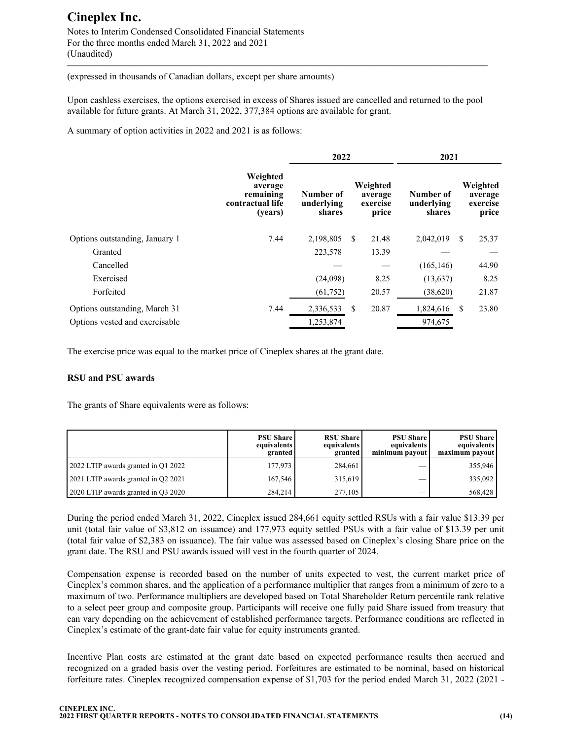Notes to Interim Condensed Consolidated Financial Statements For the three months ended March 31, 2022 and 2021 (Unaudited)

(expressed in thousands of Canadian dollars, except per share amounts)

Upon cashless exercises, the options exercised in excess of Shares issued are cancelled and returned to the pool available for future grants. At March 31, 2022, 377,384 options are available for grant.

**—————————————————————————————————————————————**

A summary of option activities in 2022 and 2021 is as follows:

|                                | 2022                                                            |                                   |                                          | 2021                              |                                          |
|--------------------------------|-----------------------------------------------------------------|-----------------------------------|------------------------------------------|-----------------------------------|------------------------------------------|
|                                | Weighted<br>average<br>remaining<br>contractual life<br>(years) | Number of<br>underlying<br>shares | Weighted<br>average<br>exercise<br>price | Number of<br>underlying<br>shares | Weighted<br>average<br>exercise<br>price |
| Options outstanding, January 1 | 7.44                                                            | 2,198,805                         | 21.48<br>S.                              | 2,042,019                         | 25.37<br><sup>\$</sup>                   |
| Granted                        |                                                                 | 223,578                           | 13.39                                    |                                   |                                          |
| Cancelled                      |                                                                 |                                   |                                          | (165, 146)                        | 44.90                                    |
| Exercised                      |                                                                 | (24,098)                          | 8.25                                     | (13, 637)                         | 8.25                                     |
| Forfeited                      |                                                                 | (61,752)                          | 20.57                                    | (38,620)                          | 21.87                                    |
| Options outstanding, March 31  | 7.44                                                            | 2,336,533                         | 20.87<br>S                               | 1,824,616                         | 23.80<br>-S                              |
| Options vested and exercisable |                                                                 | 1,253,874                         |                                          | 974,675                           |                                          |

The exercise price was equal to the market price of Cineplex shares at the grant date.

### **RSU and PSU awards**

The grants of Share equivalents were as follows:

|                                     | <b>PSU Share</b><br>equivalents<br>granted | <b>RSU Share</b><br>equivalents<br>granted | <b>PSU Share</b><br>equivalents l<br>minimum payout | <b>PSU Share</b><br>equivalents<br>maximum payout |
|-------------------------------------|--------------------------------------------|--------------------------------------------|-----------------------------------------------------|---------------------------------------------------|
| 2022 LTIP awards granted in Q1 2022 | 177.973                                    | 284.661                                    |                                                     | 355.946                                           |
| 2021 LTIP awards granted in Q2 2021 | 167.546                                    | 315.619                                    | __                                                  | 335.092                                           |
| 2020 LTIP awards granted in Q3 2020 | 284.214                                    | 277.105                                    |                                                     | 568,428                                           |

During the period ended March 31, 2022, Cineplex issued 284,661 equity settled RSUs with a fair value \$13.39 per unit (total fair value of \$3,812 on issuance) and 177,973 equity settled PSUs with a fair value of \$13.39 per unit (total fair value of \$2,383 on issuance). The fair value was assessed based on Cineplex's closing Share price on the grant date. The RSU and PSU awards issued will vest in the fourth quarter of 2024.

Compensation expense is recorded based on the number of units expected to vest, the current market price of Cineplex's common shares, and the application of a performance multiplier that ranges from a minimum of zero to a maximum of two. Performance multipliers are developed based on Total Shareholder Return percentile rank relative to a select peer group and composite group. Participants will receive one fully paid Share issued from treasury that can vary depending on the achievement of established performance targets. Performance conditions are reflected in Cineplex's estimate of the grant-date fair value for equity instruments granted.

Incentive Plan costs are estimated at the grant date based on expected performance results then accrued and recognized on a graded basis over the vesting period. Forfeitures are estimated to be nominal, based on historical forfeiture rates. Cineplex recognized compensation expense of \$1,703 for the period ended March 31, 2022 (2021 -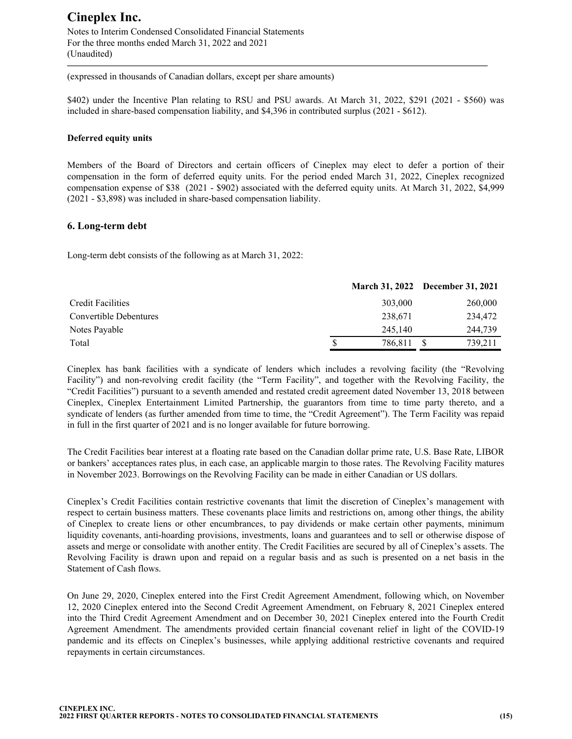Notes to Interim Condensed Consolidated Financial Statements For the three months ended March 31, 2022 and 2021 (Unaudited)

(expressed in thousands of Canadian dollars, except per share amounts)

\$402) under the Incentive Plan relating to RSU and PSU awards. At March 31, 2022, \$291 (2021 - \$560) was included in share-based compensation liability, and \$4,396 in contributed surplus (2021 - \$612).

**—————————————————————————————————————————————**

#### **Deferred equity units**

Members of the Board of Directors and certain officers of Cineplex may elect to defer a portion of their compensation in the form of deferred equity units. For the period ended March 31, 2022, Cineplex recognized compensation expense of \$38 (2021 - \$902) associated with the deferred equity units. At March 31, 2022, \$4,999 (2021 - \$3,898) was included in share-based compensation liability.

### **6. Long-term debt**

Long-term debt consists of the following as at March 31, 2022:

|                        |         | March 31, 2022 December 31, 2021 |
|------------------------|---------|----------------------------------|
| Credit Facilities      | 303,000 | 260,000                          |
| Convertible Debentures | 238,671 | 234,472                          |
| Notes Payable          | 245,140 | 244,739                          |
| Total                  | 786,811 | 739,211                          |

Cineplex has bank facilities with a syndicate of lenders which includes a revolving facility (the "Revolving Facility") and non-revolving credit facility (the "Term Facility", and together with the Revolving Facility, the "Credit Facilities") pursuant to a seventh amended and restated credit agreement dated November 13, 2018 between Cineplex, Cineplex Entertainment Limited Partnership, the guarantors from time to time party thereto, and a syndicate of lenders (as further amended from time to time, the "Credit Agreement"). The Term Facility was repaid in full in the first quarter of 2021 and is no longer available for future borrowing.

The Credit Facilities bear interest at a floating rate based on the Canadian dollar prime rate, U.S. Base Rate, LIBOR or bankers' acceptances rates plus, in each case, an applicable margin to those rates. The Revolving Facility matures in November 2023. Borrowings on the Revolving Facility can be made in either Canadian or US dollars.

Cineplex's Credit Facilities contain restrictive covenants that limit the discretion of Cineplex's management with respect to certain business matters. These covenants place limits and restrictions on, among other things, the ability of Cineplex to create liens or other encumbrances, to pay dividends or make certain other payments, minimum liquidity covenants, anti-hoarding provisions, investments, loans and guarantees and to sell or otherwise dispose of assets and merge or consolidate with another entity. The Credit Facilities are secured by all of Cineplex's assets. The Revolving Facility is drawn upon and repaid on a regular basis and as such is presented on a net basis in the Statement of Cash flows.

On June 29, 2020, Cineplex entered into the First Credit Agreement Amendment, following which, on November 12, 2020 Cineplex entered into the Second Credit Agreement Amendment, on February 8, 2021 Cineplex entered into the Third Credit Agreement Amendment and on December 30, 2021 Cineplex entered into the Fourth Credit Agreement Amendment. The amendments provided certain financial covenant relief in light of the COVID-19 pandemic and its effects on Cineplex's businesses, while applying additional restrictive covenants and required repayments in certain circumstances.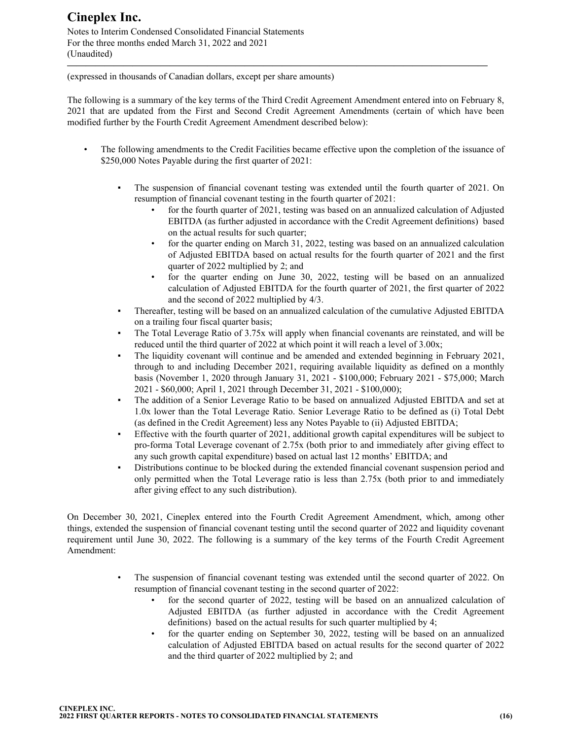Notes to Interim Condensed Consolidated Financial Statements For the three months ended March 31, 2022 and 2021 (Unaudited)

(expressed in thousands of Canadian dollars, except per share amounts)

The following is a summary of the key terms of the Third Credit Agreement Amendment entered into on February 8, 2021 that are updated from the First and Second Credit Agreement Amendments (certain of which have been modified further by the Fourth Credit Agreement Amendment described below):

**—————————————————————————————————————————————**

- The following amendments to the Credit Facilities became effective upon the completion of the issuance of \$250,000 Notes Payable during the first quarter of 2021:
	- The suspension of financial covenant testing was extended until the fourth quarter of 2021. On resumption of financial covenant testing in the fourth quarter of 2021:
		- for the fourth quarter of 2021, testing was based on an annualized calculation of Adjusted EBITDA (as further adjusted in accordance with the Credit Agreement definitions) based on the actual results for such quarter;
		- for the quarter ending on March 31, 2022, testing was based on an annualized calculation of Adjusted EBITDA based on actual results for the fourth quarter of 2021 and the first quarter of 2022 multiplied by 2; and
		- for the quarter ending on June 30, 2022, testing will be based on an annualized calculation of Adjusted EBITDA for the fourth quarter of 2021, the first quarter of 2022 and the second of 2022 multiplied by 4/3.
	- Thereafter, testing will be based on an annualized calculation of the cumulative Adjusted EBITDA on a trailing four fiscal quarter basis;
	- The Total Leverage Ratio of 3.75x will apply when financial covenants are reinstated, and will be reduced until the third quarter of 2022 at which point it will reach a level of 3.00x;
	- The liquidity covenant will continue and be amended and extended beginning in February 2021, through to and including December 2021, requiring available liquidity as defined on a monthly basis (November 1, 2020 through January 31, 2021 - \$100,000; February 2021 - \$75,000; March 2021 - \$60,000; April 1, 2021 through December 31, 2021 - \$100,000);
	- The addition of a Senior Leverage Ratio to be based on annualized Adjusted EBITDA and set at 1.0x lower than the Total Leverage Ratio. Senior Leverage Ratio to be defined as (i) Total Debt (as defined in the Credit Agreement) less any Notes Payable to (ii) Adjusted EBITDA;
	- Effective with the fourth quarter of 2021, additional growth capital expenditures will be subject to pro-forma Total Leverage covenant of 2.75x (both prior to and immediately after giving effect to any such growth capital expenditure) based on actual last 12 months' EBITDA; and
	- Distributions continue to be blocked during the extended financial covenant suspension period and only permitted when the Total Leverage ratio is less than 2.75x (both prior to and immediately after giving effect to any such distribution).

On December 30, 2021, Cineplex entered into the Fourth Credit Agreement Amendment, which, among other things, extended the suspension of financial covenant testing until the second quarter of 2022 and liquidity covenant requirement until June 30, 2022. The following is a summary of the key terms of the Fourth Credit Agreement Amendment:

- The suspension of financial covenant testing was extended until the second quarter of 2022. On resumption of financial covenant testing in the second quarter of 2022:
	- for the second quarter of 2022, testing will be based on an annualized calculation of Adjusted EBITDA (as further adjusted in accordance with the Credit Agreement definitions) based on the actual results for such quarter multiplied by 4;
	- for the quarter ending on September 30, 2022, testing will be based on an annualized calculation of Adjusted EBITDA based on actual results for the second quarter of 2022 and the third quarter of 2022 multiplied by 2; and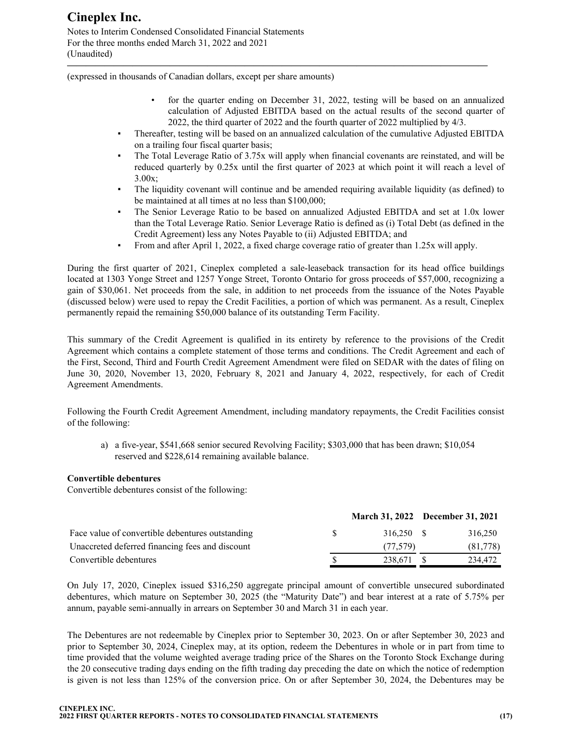Notes to Interim Condensed Consolidated Financial Statements For the three months ended March 31, 2022 and 2021 (Unaudited)

(expressed in thousands of Canadian dollars, except per share amounts)

- for the quarter ending on December 31, 2022, testing will be based on an annualized calculation of Adjusted EBITDA based on the actual results of the second quarter of 2022, the third quarter of 2022 and the fourth quarter of 2022 multiplied by 4/3.
- Thereafter, testing will be based on an annualized calculation of the cumulative Adjusted EBITDA on a trailing four fiscal quarter basis;

**—————————————————————————————————————————————**

- The Total Leverage Ratio of 3.75x will apply when financial covenants are reinstated, and will be reduced quarterly by 0.25x until the first quarter of 2023 at which point it will reach a level of 3.00x;
- The liquidity covenant will continue and be amended requiring available liquidity (as defined) to be maintained at all times at no less than \$100,000;
- The Senior Leverage Ratio to be based on annualized Adjusted EBITDA and set at 1.0x lower than the Total Leverage Ratio. Senior Leverage Ratio is defined as (i) Total Debt (as defined in the Credit Agreement) less any Notes Payable to (ii) Adjusted EBITDA; and
- From and after April 1, 2022, a fixed charge coverage ratio of greater than 1.25x will apply.

During the first quarter of 2021, Cineplex completed a sale-leaseback transaction for its head office buildings located at 1303 Yonge Street and 1257 Yonge Street, Toronto Ontario for gross proceeds of \$57,000, recognizing a gain of \$30,061. Net proceeds from the sale, in addition to net proceeds from the issuance of the Notes Payable (discussed below) were used to repay the Credit Facilities, a portion of which was permanent. As a result, Cineplex permanently repaid the remaining \$50,000 balance of its outstanding Term Facility.

This summary of the Credit Agreement is qualified in its entirety by reference to the provisions of the Credit Agreement which contains a complete statement of those terms and conditions. The Credit Agreement and each of the First, Second, Third and Fourth Credit Agreement Amendment were filed on SEDAR with the dates of filing on June 30, 2020, November 13, 2020, February 8, 2021 and January 4, 2022, respectively, for each of Credit Agreement Amendments.

Following the Fourth Credit Agreement Amendment, including mandatory repayments, the Credit Facilities consist of the following:

a) a five-year, \$541,668 senior secured Revolving Facility; \$303,000 that has been drawn; \$10,054 reserved and \$228,614 remaining available balance.

### **Convertible debentures**

Convertible debentures consist of the following:

|                                                  |    | March 31, 2022 December 31, 2021 |          |
|--------------------------------------------------|----|----------------------------------|----------|
| Face value of convertible debentures outstanding | S. | 316.250 S                        | 316.250  |
| Unaccreted deferred financing fees and discount  |    | (77.579)                         | (81,778) |
| Convertible debentures                           |    | 238,671                          | 234,472  |

On July 17, 2020, Cineplex issued \$316,250 aggregate principal amount of convertible unsecured subordinated debentures, which mature on September 30, 2025 (the "Maturity Date") and bear interest at a rate of 5.75% per annum, payable semi-annually in arrears on September 30 and March 31 in each year.

The Debentures are not redeemable by Cineplex prior to September 30, 2023. On or after September 30, 2023 and prior to September 30, 2024, Cineplex may, at its option, redeem the Debentures in whole or in part from time to time provided that the volume weighted average trading price of the Shares on the Toronto Stock Exchange during the 20 consecutive trading days ending on the fifth trading day preceding the date on which the notice of redemption is given is not less than 125% of the conversion price. On or after September 30, 2024, the Debentures may be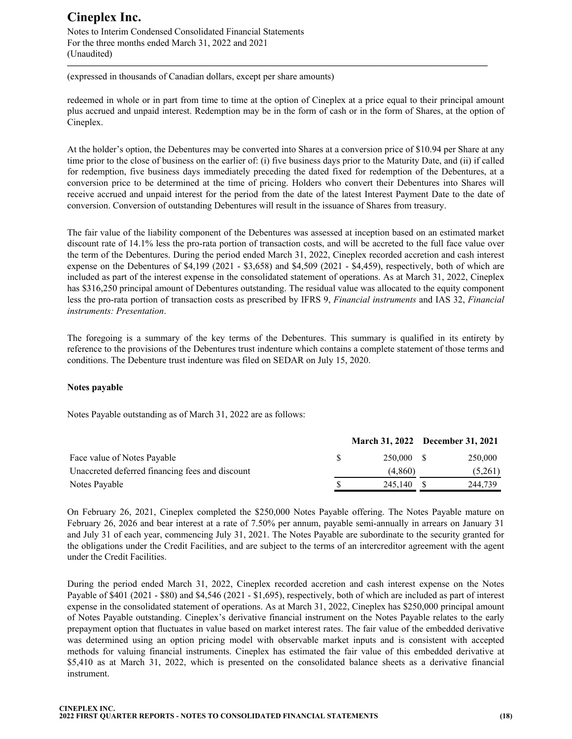Notes to Interim Condensed Consolidated Financial Statements For the three months ended March 31, 2022 and 2021 (Unaudited)

(expressed in thousands of Canadian dollars, except per share amounts)

redeemed in whole or in part from time to time at the option of Cineplex at a price equal to their principal amount plus accrued and unpaid interest. Redemption may be in the form of cash or in the form of Shares, at the option of Cineplex.

**—————————————————————————————————————————————**

At the holder's option, the Debentures may be converted into Shares at a conversion price of \$10.94 per Share at any time prior to the close of business on the earlier of: (i) five business days prior to the Maturity Date, and (ii) if called for redemption, five business days immediately preceding the dated fixed for redemption of the Debentures, at a conversion price to be determined at the time of pricing. Holders who convert their Debentures into Shares will receive accrued and unpaid interest for the period from the date of the latest Interest Payment Date to the date of conversion. Conversion of outstanding Debentures will result in the issuance of Shares from treasury.

The fair value of the liability component of the Debentures was assessed at inception based on an estimated market discount rate of 14.1% less the pro-rata portion of transaction costs, and will be accreted to the full face value over the term of the Debentures. During the period ended March 31, 2022, Cineplex recorded accretion and cash interest expense on the Debentures of \$4,199 (2021 - \$3,658) and \$4,509 (2021 - \$4,459), respectively, both of which are included as part of the interest expense in the consolidated statement of operations. As at March 31, 2022, Cineplex has \$316,250 principal amount of Debentures outstanding. The residual value was allocated to the equity component less the pro-rata portion of transaction costs as prescribed by IFRS 9, *Financial instruments* and IAS 32, *Financial instruments: Presentation*.

The foregoing is a summary of the key terms of the Debentures. This summary is qualified in its entirety by reference to the provisions of the Debentures trust indenture which contains a complete statement of those terms and conditions. The Debenture trust indenture was filed on SEDAR on July 15, 2020.

### **Notes payable**

Notes Payable outstanding as of March 31, 2022 are as follows:

|                                                 |    | March 31, 2022 December 31, 2021 |         |
|-------------------------------------------------|----|----------------------------------|---------|
| Face value of Notes Payable                     | -S | 250.000 \$                       | 250,000 |
| Unaccreted deferred financing fees and discount |    | (4.860)                          | (5,261) |
| Notes Payable                                   |    | 245,140                          | 244.739 |

On February 26, 2021, Cineplex completed the \$250,000 Notes Payable offering. The Notes Payable mature on February 26, 2026 and bear interest at a rate of 7.50% per annum, payable semi-annually in arrears on January 31 and July 31 of each year, commencing July 31, 2021. The Notes Payable are subordinate to the security granted for the obligations under the Credit Facilities, and are subject to the terms of an intercreditor agreement with the agent under the Credit Facilities.

During the period ended March 31, 2022, Cineplex recorded accretion and cash interest expense on the Notes Payable of \$401 (2021 - \$80) and \$4,546 (2021 - \$1,695), respectively, both of which are included as part of interest expense in the consolidated statement of operations. As at March 31, 2022, Cineplex has \$250,000 principal amount of Notes Payable outstanding. Cineplex's derivative financial instrument on the Notes Payable relates to the early prepayment option that fluctuates in value based on market interest rates. The fair value of the embedded derivative was determined using an option pricing model with observable market inputs and is consistent with accepted methods for valuing financial instruments. Cineplex has estimated the fair value of this embedded derivative at \$5,410 as at March 31, 2022, which is presented on the consolidated balance sheets as a derivative financial instrument.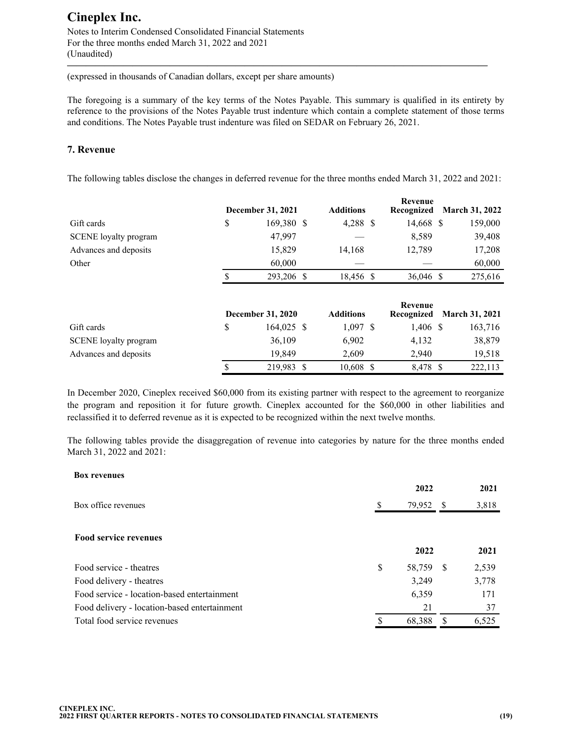Notes to Interim Condensed Consolidated Financial Statements For the three months ended March 31, 2022 and 2021 (Unaudited)

(expressed in thousands of Canadian dollars, except per share amounts)

The foregoing is a summary of the key terms of the Notes Payable. This summary is qualified in its entirety by reference to the provisions of the Notes Payable trust indenture which contain a complete statement of those terms and conditions. The Notes Payable trust indenture was filed on SEDAR on February 26, 2021.

**—————————————————————————————————————————————**

### **7. Revenue**

The following tables disclose the changes in deferred revenue for the three months ended March 31, 2022 and 2021:

|                              | December 31, 2021 | <b>Additions</b> | Revenue<br>Recognized | <b>March 31, 2022</b> |
|------------------------------|-------------------|------------------|-----------------------|-----------------------|
| Gift cards                   | \$<br>169,380 \$  | 4,288 \$         | 14,668 \$             | 159,000               |
| <b>SCENE</b> loyalty program | 47,997            |                  | 8,589                 | 39,408                |
| Advances and deposits        | 15,829            | 14,168           | 12,789                | 17,208                |
| Other                        | 60,000            |                  |                       | 60,000                |
|                              | 293,206 \$        | 18,456 \$        | 36,046 \$             | 275,616               |
|                              |                   |                  |                       |                       |

|                              | <b>December 31, 2020</b> | <b>Additions</b> | Revenue<br>Recognized | <b>March 31, 2021</b> |
|------------------------------|--------------------------|------------------|-----------------------|-----------------------|
| Gift cards                   | $164,025$ \$             | $1,097$ \$       | $1,406$ \$            | 163,716               |
| <b>SCENE</b> loyalty program | 36,109                   | 6.902            | 4.132                 | 38,879                |
| Advances and deposits        | 19.849                   | 2.609            | 2.940                 | 19,518                |
|                              | 219.983 \$               | 10,608           | 8.478 \$              | 222,113               |

In December 2020, Cineplex received \$60,000 from its existing partner with respect to the agreement to reorganize the program and reposition it for future growth. Cineplex accounted for the \$60,000 in other liabilities and reclassified it to deferred revenue as it is expected to be recognized within the next twelve months.

The following tables provide the disaggregation of revenue into categories by nature for the three months ended March 31, 2022 and 2021:

| <b>Box revenues</b>                          |              |     |       |
|----------------------------------------------|--------------|-----|-------|
|                                              | 2022         |     | 2021  |
| Box office revenues                          | 79,952       | -S  | 3,818 |
| <b>Food service revenues</b>                 | 2022         |     | 2021  |
| Food service - theatres                      | \$<br>58,759 | - S | 2,539 |
| Food delivery - theatres                     | 3,249        |     | 3,778 |
| Food service - location-based entertainment  | 6,359        |     | 171   |
| Food delivery - location-based entertainment | 21           |     | 37    |
| Total food service revenues                  | 68,388       |     | 6,525 |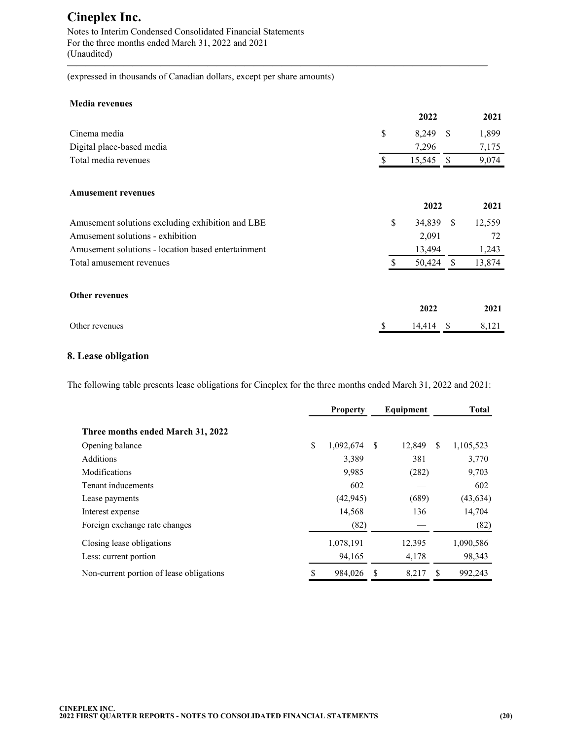Notes to Interim Condensed Consolidated Financial Statements For the three months ended March 31, 2022 and 2021 (Unaudited)

(expressed in thousands of Canadian dollars, except per share amounts)

#### **Media revenues**

|                                                    |    | 2022   |      | 2021   |
|----------------------------------------------------|----|--------|------|--------|
| Cinema media                                       | \$ | 8,249  | -S   | 1,899  |
| Digital place-based media                          |    | 7,296  |      | 7,175  |
| Total media revenues                               | \$ | 15,545 | -S   | 9,074  |
| <b>Amusement revenues</b>                          |    |        |      |        |
|                                                    |    | 2022   |      | 2021   |
| Amusement solutions excluding exhibition and LBE   | \$ | 34,839 | - \$ | 12,559 |
| Amusement solutions - exhibition                   |    | 2,091  |      | 72     |
| Amusement solutions - location based entertainment |    | 13,494 |      | 1,243  |
| Total amusement revenues                           | S  | 50,424 | \$   | 13,874 |
| <b>Other revenues</b>                              |    |        |      |        |
|                                                    |    | 2022   |      | 2021   |
| Other revenues                                     | \$ | 14,414 | S    | 8,121  |

**—————————————————————————————————————————————**

### **8. Lease obligation**

The following table presents lease obligations for Cineplex for the three months ended March 31, 2022 and 2021:

|                                          |    | <b>Property</b> |   | Equipment |   | Total     |
|------------------------------------------|----|-----------------|---|-----------|---|-----------|
| Three months ended March 31, 2022        |    |                 |   |           |   |           |
| Opening balance                          | \$ | 1,092,674       | S | 12,849    | S | 1,105,523 |
| Additions                                |    | 3,389           |   | 381       |   | 3,770     |
| Modifications                            |    | 9,985           |   | (282)     |   | 9,703     |
| Tenant inducements                       |    | 602             |   |           |   | 602       |
| Lease payments                           |    | (42, 945)       |   | (689)     |   | (43, 634) |
| Interest expense                         |    | 14,568          |   | 136       |   | 14,704    |
| Foreign exchange rate changes            |    | (82)            |   |           |   | (82)      |
| Closing lease obligations                |    | 1,078,191       |   | 12,395    |   | 1,090,586 |
| Less: current portion                    |    | 94,165          |   | 4,178     |   | 98,343    |
| Non-current portion of lease obligations | S  | 984,026         | S | 8,217     | S | 992,243   |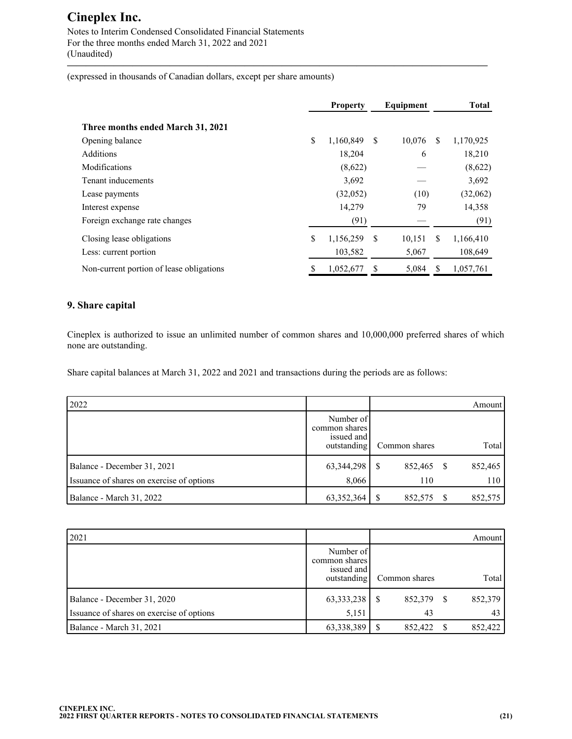Notes to Interim Condensed Consolidated Financial Statements For the three months ended March 31, 2022 and 2021 (Unaudited)

(expressed in thousands of Canadian dollars, except per share amounts)

|                                          |    | <b>Property</b> |   | Equipment |    | <b>Total</b> |
|------------------------------------------|----|-----------------|---|-----------|----|--------------|
| Three months ended March 31, 2021        |    |                 |   |           |    |              |
| Opening balance                          | \$ | 1,160,849       | S | 10,076    | S. | 1,170,925    |
| <b>Additions</b>                         |    | 18,204          |   | 6         |    | 18,210       |
| Modifications                            |    | (8,622)         |   |           |    | (8,622)      |
| Tenant inducements                       |    | 3,692           |   |           |    | 3,692        |
| Lease payments                           |    | (32,052)        |   | (10)      |    | (32,062)     |
| Interest expense                         |    | 14,279          |   | 79        |    | 14,358       |
| Foreign exchange rate changes            |    | (91)            |   |           |    | (91)         |
| Closing lease obligations                | \$ | 1,156,259       | S | 10,151    | S  | 1,166,410    |
| Less: current portion                    |    | 103,582         |   | 5,067     |    | 108,649      |
| Non-current portion of lease obligations | S  | 1,052,677       | S | 5,084     |    | 1,057,761    |

**—————————————————————————————————————————————**

### **9. Share capital**

Cineplex is authorized to issue an unlimited number of common shares and 10,000,000 preferred shares of which none are outstanding.

Share capital balances at March 31, 2022 and 2021 and transactions during the periods are as follows:

| 2022                                      |                                                         |               |   | Amount  |
|-------------------------------------------|---------------------------------------------------------|---------------|---|---------|
|                                           | Number of<br>common shares<br>issued and<br>outstanding | Common shares |   | Total   |
| Balance - December 31, 2021               | 63,344,298                                              | 852,465       | S | 852,465 |
| Issuance of shares on exercise of options | 8,066                                                   | 110           |   | 110     |
| Balance - March 31, 2022                  | 63,352,364                                              | 852,575       |   | 852,575 |

| 2021                                      |                                                         |               |    | Amount  |
|-------------------------------------------|---------------------------------------------------------|---------------|----|---------|
|                                           | Number of<br>common shares<br>issued and<br>outstanding | Common shares |    | Total   |
| Balance - December 31, 2020               | 63, 333, 238                                            | 852,379       | S. | 852,379 |
| Issuance of shares on exercise of options | 5,151                                                   | 43            |    | 43      |
| Balance - March 31, 2021                  | 63,338,389                                              | 852,422       |    | 852,422 |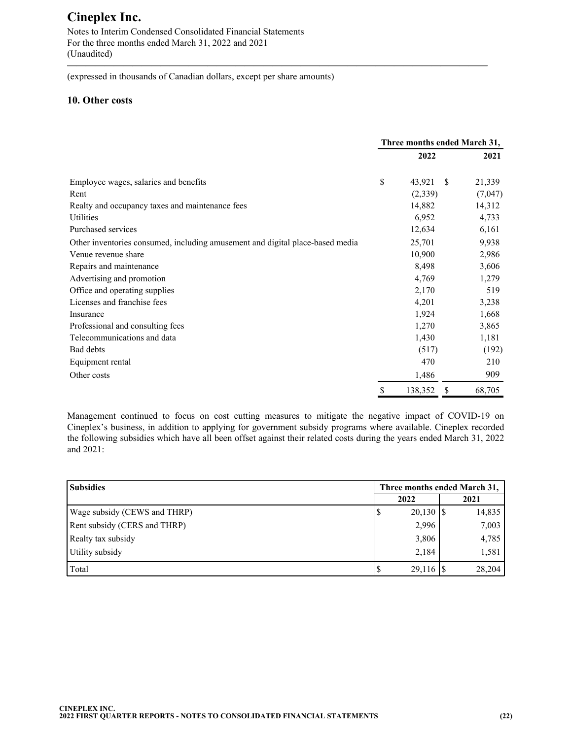Notes to Interim Condensed Consolidated Financial Statements For the three months ended March 31, 2022 and 2021 (Unaudited)

(expressed in thousands of Canadian dollars, except per share amounts)

### **10. Other costs**

|                                                                               | Three months ended March 31, |         |              |         |
|-------------------------------------------------------------------------------|------------------------------|---------|--------------|---------|
|                                                                               |                              | 2022    |              | 2021    |
| Employee wages, salaries and benefits                                         | \$                           | 43,921  | <sup>S</sup> | 21,339  |
| Rent                                                                          |                              | (2,339) |              | (7,047) |
| Realty and occupancy taxes and maintenance fees                               |                              | 14,882  |              | 14,312  |
| Utilities                                                                     |                              | 6,952   |              | 4,733   |
| Purchased services                                                            |                              | 12,634  |              | 6,161   |
| Other inventories consumed, including amusement and digital place-based media |                              | 25,701  |              | 9,938   |
| Venue revenue share                                                           |                              | 10,900  |              | 2,986   |
| Repairs and maintenance                                                       |                              | 8,498   |              | 3,606   |
| Advertising and promotion                                                     |                              | 4,769   |              | 1,279   |
| Office and operating supplies                                                 |                              | 2,170   |              | 519     |
| Licenses and franchise fees                                                   |                              | 4,201   |              | 3,238   |
| Insurance                                                                     |                              | 1,924   |              | 1,668   |
| Professional and consulting fees                                              |                              | 1,270   |              | 3,865   |
| Telecommunications and data                                                   |                              | 1,430   |              | 1,181   |
| Bad debts                                                                     |                              | (517)   |              | (192)   |
| Equipment rental                                                              |                              | 470     |              | 210     |
| Other costs                                                                   |                              | 1,486   |              | 909     |
|                                                                               | \$                           | 138,352 | \$           | 68,705  |

**—————————————————————————————————————————————**

Management continued to focus on cost cutting measures to mitigate the negative impact of COVID-19 on Cineplex's business, in addition to applying for government subsidy programs where available. Cineplex recorded the following subsidies which have all been offset against their related costs during the years ended March 31, 2022 and 2021:

| <b>Subsidies</b>             | Three months ended March 31, |        |  |  |  |  |  |
|------------------------------|------------------------------|--------|--|--|--|--|--|
|                              | 2022                         | 2021   |  |  |  |  |  |
| Wage subsidy (CEWS and THRP) | $20,130$   \$<br>Φ           | 14,835 |  |  |  |  |  |
| Rent subsidy (CERS and THRP) | 2,996                        | 7,003  |  |  |  |  |  |
| Realty tax subsidy           | 3,806                        | 4,785  |  |  |  |  |  |
| Utility subsidy              | 2,184                        | 1,581  |  |  |  |  |  |
| Total                        |                              | 28,204 |  |  |  |  |  |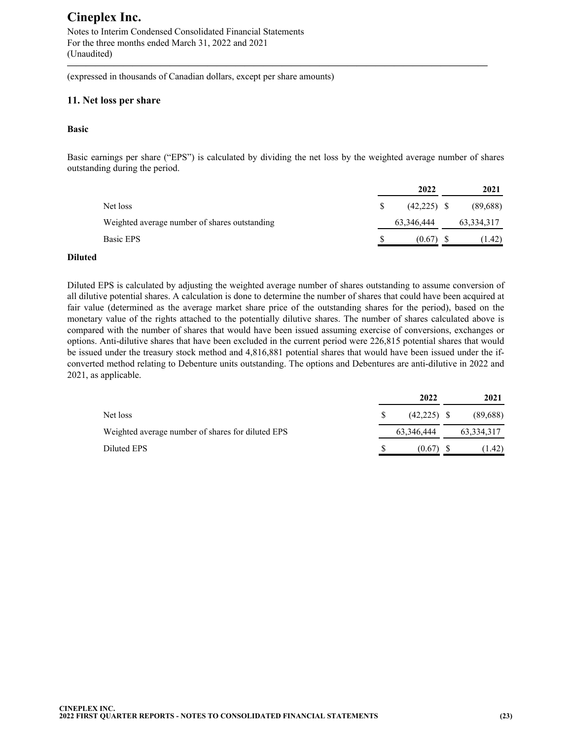Notes to Interim Condensed Consolidated Financial Statements For the three months ended March 31, 2022 and 2021 (Unaudited)

(expressed in thousands of Canadian dollars, except per share amounts)

### **11. Net loss per share**

#### **Basic**

Basic earnings per share ("EPS") is calculated by dividing the net loss by the weighted average number of shares outstanding during the period.

**—————————————————————————————————————————————**

|                                               | 2022          | 2021         |
|-----------------------------------------------|---------------|--------------|
| Net loss                                      | $(42,225)$ \$ | (89,688)     |
| Weighted average number of shares outstanding | 63,346,444    | 63, 334, 317 |
| Basic EPS                                     | (0.67)        | (1.42)       |

#### **Diluted**

Diluted EPS is calculated by adjusting the weighted average number of shares outstanding to assume conversion of all dilutive potential shares. A calculation is done to determine the number of shares that could have been acquired at fair value (determined as the average market share price of the outstanding shares for the period), based on the monetary value of the rights attached to the potentially dilutive shares. The number of shares calculated above is compared with the number of shares that would have been issued assuming exercise of conversions, exchanges or options. Anti-dilutive shares that have been excluded in the current period were 226,815 potential shares that would be issued under the treasury stock method and 4,816,881 potential shares that would have been issued under the ifconverted method relating to Debenture units outstanding. The options and Debentures are anti-dilutive in 2022 and 2021, as applicable.

|                                                   | 2022          | 2021         |
|---------------------------------------------------|---------------|--------------|
| Net loss                                          | $(42,225)$ \$ | (89,688)     |
| Weighted average number of shares for diluted EPS | 63,346,444    | 63, 334, 317 |
| Diluted EPS                                       | (0.67)        | (1.42)       |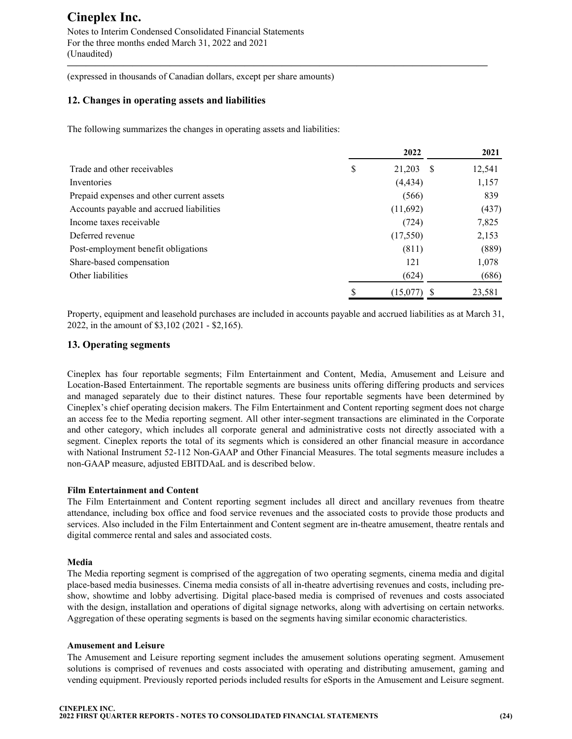Notes to Interim Condensed Consolidated Financial Statements For the three months ended March 31, 2022 and 2021 (Unaudited)

(expressed in thousands of Canadian dollars, except per share amounts)

### **12. Changes in operating assets and liabilities**

The following summarizes the changes in operating assets and liabilities:

|                                           |   | 2022           | 2021   |
|-------------------------------------------|---|----------------|--------|
| Trade and other receivables               | S | 21,203<br>- \$ | 12,541 |
| Inventories                               |   | (4, 434)       | 1,157  |
| Prepaid expenses and other current assets |   | (566)          | 839    |
| Accounts payable and accrued liabilities  |   | (11,692)       | (437)  |
| Income taxes receivable                   |   | (724)          | 7,825  |
| Deferred revenue                          |   | (17,550)       | 2,153  |
| Post-employment benefit obligations       |   | (811)          | (889)  |
| Share-based compensation                  |   | 121            | 1,078  |
| Other liabilities                         |   | (624)          | (686)  |
|                                           |   | (15,077)       | 23,581 |

**—————————————————————————————————————————————**

Property, equipment and leasehold purchases are included in accounts payable and accrued liabilities as at March 31, 2022, in the amount of \$3,102 (2021 - \$2,165).

### **13. Operating segments**

Cineplex has four reportable segments; Film Entertainment and Content, Media, Amusement and Leisure and Location-Based Entertainment. The reportable segments are business units offering differing products and services and managed separately due to their distinct natures. These four reportable segments have been determined by Cineplex's chief operating decision makers. The Film Entertainment and Content reporting segment does not charge an access fee to the Media reporting segment. All other inter-segment transactions are eliminated in the Corporate and other category, which includes all corporate general and administrative costs not directly associated with a segment. Cineplex reports the total of its segments which is considered an other financial measure in accordance with National Instrument 52-112 Non-GAAP and Other Financial Measures. The total segments measure includes a non-GAAP measure, adjusted EBITDAaL and is described below.

### **Film Entertainment and Content**

The Film Entertainment and Content reporting segment includes all direct and ancillary revenues from theatre attendance, including box office and food service revenues and the associated costs to provide those products and services. Also included in the Film Entertainment and Content segment are in-theatre amusement, theatre rentals and digital commerce rental and sales and associated costs.

### **Media**

The Media reporting segment is comprised of the aggregation of two operating segments, cinema media and digital place-based media businesses. Cinema media consists of all in-theatre advertising revenues and costs, including preshow, showtime and lobby advertising. Digital place-based media is comprised of revenues and costs associated with the design, installation and operations of digital signage networks, along with advertising on certain networks. Aggregation of these operating segments is based on the segments having similar economic characteristics.

#### **Amusement and Leisure**

The Amusement and Leisure reporting segment includes the amusement solutions operating segment. Amusement solutions is comprised of revenues and costs associated with operating and distributing amusement, gaming and vending equipment. Previously reported periods included results for eSports in the Amusement and Leisure segment.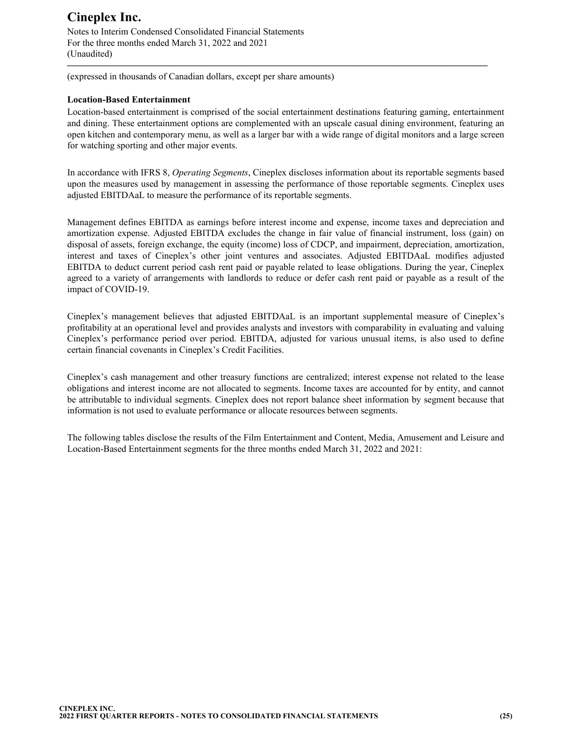Notes to Interim Condensed Consolidated Financial Statements For the three months ended March 31, 2022 and 2021 (Unaudited)

(expressed in thousands of Canadian dollars, except per share amounts)

### **Location-Based Entertainment**

Location-based entertainment is comprised of the social entertainment destinations featuring gaming, entertainment and dining. These entertainment options are complemented with an upscale casual dining environment, featuring an open kitchen and contemporary menu, as well as a larger bar with a wide range of digital monitors and a large screen for watching sporting and other major events.

**—————————————————————————————————————————————**

In accordance with IFRS 8, *Operating Segments*, Cineplex discloses information about its reportable segments based upon the measures used by management in assessing the performance of those reportable segments. Cineplex uses adjusted EBITDAaL to measure the performance of its reportable segments.

Management defines EBITDA as earnings before interest income and expense, income taxes and depreciation and amortization expense. Adjusted EBITDA excludes the change in fair value of financial instrument, loss (gain) on disposal of assets, foreign exchange, the equity (income) loss of CDCP, and impairment, depreciation, amortization, interest and taxes of Cineplex's other joint ventures and associates. Adjusted EBITDAaL modifies adjusted EBITDA to deduct current period cash rent paid or payable related to lease obligations. During the year, Cineplex agreed to a variety of arrangements with landlords to reduce or defer cash rent paid or payable as a result of the impact of COVID-19.

Cineplex's management believes that adjusted EBITDAaL is an important supplemental measure of Cineplex's profitability at an operational level and provides analysts and investors with comparability in evaluating and valuing Cineplex's performance period over period. EBITDA, adjusted for various unusual items, is also used to define certain financial covenants in Cineplex's Credit Facilities.

Cineplex's cash management and other treasury functions are centralized; interest expense not related to the lease obligations and interest income are not allocated to segments. Income taxes are accounted for by entity, and cannot be attributable to individual segments. Cineplex does not report balance sheet information by segment because that information is not used to evaluate performance or allocate resources between segments.

The following tables disclose the results of the Film Entertainment and Content, Media, Amusement and Leisure and Location-Based Entertainment segments for the three months ended March 31, 2022 and 2021: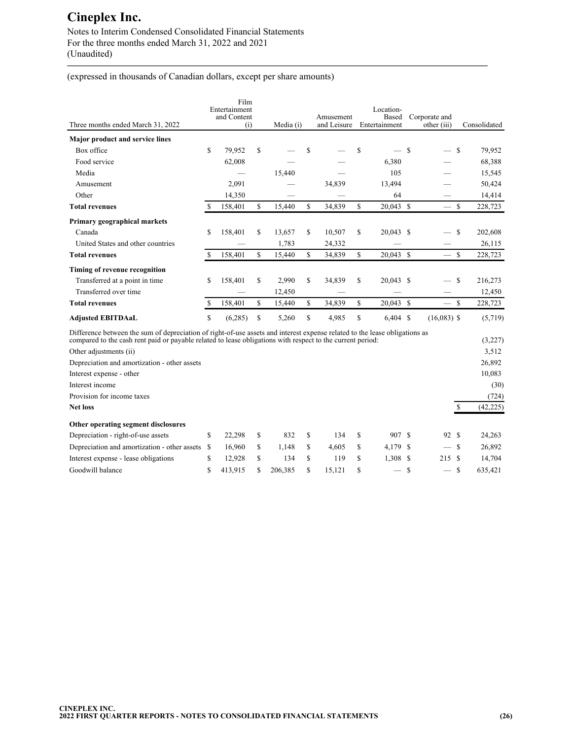Notes to Interim Condensed Consolidated Financial Statements For the three months ended March 31, 2022 and 2021 (Unaudited)

(expressed in thousands of Canadian dollars, except per share amounts)

| Three months ended March 31, 2022                                                                                                                                                                                                        |             | Film<br>Entertainment<br>and Content<br>(i) |             | Media (i) |             | Amusement<br>and Leisure |               | Location-<br>Based<br>Entertainment |             | Corporate and<br>other (iii) |               | Consolidated |
|------------------------------------------------------------------------------------------------------------------------------------------------------------------------------------------------------------------------------------------|-------------|---------------------------------------------|-------------|-----------|-------------|--------------------------|---------------|-------------------------------------|-------------|------------------------------|---------------|--------------|
| <b>Major product and service lines</b>                                                                                                                                                                                                   |             |                                             |             |           |             |                          |               |                                     |             |                              |               |              |
| Box office                                                                                                                                                                                                                               | \$          | 79,952                                      | \$          |           | \$          |                          | S             |                                     | - \$        |                              | <sup>\$</sup> | 79,952       |
| Food service                                                                                                                                                                                                                             |             | 62,008                                      |             |           |             |                          |               | 6,380                               |             |                              |               | 68,388       |
| Media                                                                                                                                                                                                                                    |             |                                             |             | 15,440    |             |                          |               | 105                                 |             |                              |               | 15,545       |
| Amusement                                                                                                                                                                                                                                |             | 2,091                                       |             |           |             | 34,839                   |               | 13,494                              |             |                              |               | 50,424       |
| Other                                                                                                                                                                                                                                    |             | 14,350                                      |             |           |             |                          |               | 64                                  |             |                              |               | 14,414       |
| <b>Total revenues</b>                                                                                                                                                                                                                    | S           | 158,401                                     | $\mathbf S$ | 15,440    | \$          | 34,839                   | \$            | $20,043$ \$                         |             | $\overline{\phantom{0}}$     | <sup>\$</sup> | 228,723      |
| Primary geographical markets                                                                                                                                                                                                             |             |                                             |             |           |             |                          |               |                                     |             |                              |               |              |
| Canada                                                                                                                                                                                                                                   | \$          | 158,401                                     | \$          | 13,657    | \$          | 10,507                   | \$            | 20,043 \$                           |             |                              | \$            | 202,608      |
| United States and other countries                                                                                                                                                                                                        |             |                                             |             | 1,783     |             | 24,332                   |               |                                     |             |                              |               | 26,115       |
| <b>Total revenues</b>                                                                                                                                                                                                                    | $\mathbf S$ | 158,401                                     | $\mathbf S$ | 15,440    | \$          | 34,839                   | $\mathbf S$   | $20.043$ \$                         |             | $\overline{\phantom{0}}$     | $\mathbf{s}$  | 228,723      |
| Timing of revenue recognition                                                                                                                                                                                                            |             |                                             |             |           |             |                          |               |                                     |             |                              |               |              |
| Transferred at a point in time                                                                                                                                                                                                           | \$          | 158,401                                     | \$          | 2,990     | S           | 34,839                   | \$            | $20,043$ \$                         |             |                              | <sup>\$</sup> | 216,273      |
| Transferred over time                                                                                                                                                                                                                    |             |                                             |             | 12,450    |             |                          |               |                                     |             |                              |               | 12,450       |
| <b>Total revenues</b>                                                                                                                                                                                                                    | $\mathbf S$ | 158,401                                     | \$          | 15,440    | $\mathbf S$ | 34,839                   | \$            | $20,043$ \$                         |             | $\frac{1}{1}$                | <sup>\$</sup> | 228,723      |
| <b>Adjusted EBITDAaL</b>                                                                                                                                                                                                                 | \$          | (6,285)                                     | \$          | 5,260     | \$          | 4,985                    | \$            | $6,404$ \$                          |             | $(16,083)$ \$                |               | (5,719)      |
| Difference between the sum of depreciation of right-of-use assets and interest expense related to the lease obligations as<br>compared to the cash rent paid or payable related to lease obligations with respect to the current period: |             |                                             |             |           |             |                          |               |                                     |             |                              |               | (3,227)      |
| Other adjustments (ii)                                                                                                                                                                                                                   |             |                                             |             |           |             |                          |               |                                     |             |                              |               | 3,512        |
| Depreciation and amortization - other assets                                                                                                                                                                                             |             |                                             |             |           |             |                          |               |                                     |             |                              |               | 26,892       |
| Interest expense - other                                                                                                                                                                                                                 |             |                                             |             |           |             |                          |               |                                     |             |                              |               | 10,083       |
| Interest income                                                                                                                                                                                                                          |             |                                             |             |           |             |                          |               |                                     |             |                              |               | (30)         |
| Provision for income taxes                                                                                                                                                                                                               |             |                                             |             |           |             |                          |               |                                     |             |                              |               | (724)        |
| <b>Net loss</b>                                                                                                                                                                                                                          |             |                                             |             |           |             |                          |               |                                     |             |                              | $\mathbb{S}$  | (42, 225)    |
| Other operating segment disclosures                                                                                                                                                                                                      |             |                                             |             |           |             |                          |               |                                     |             |                              |               |              |
| Depreciation - right-of-use assets                                                                                                                                                                                                       | \$          | 22,298                                      | \$          | 832       | \$          | 134                      | <sup>\$</sup> | 907 \$                              |             | 92                           | -S            | 24,263       |
| Depreciation and amortization - other assets                                                                                                                                                                                             | \$          | 16,960                                      | \$          | 1,148     | \$          | 4,605                    | \$            | 4,179 \$                            |             |                              | -S            | 26,892       |
| Interest expense - lease obligations                                                                                                                                                                                                     | \$          | 12,928                                      | \$          | 134       | \$          | 119                      | S             | $1,308$ \$                          |             | 215S                         |               | 14,704       |
| Goodwill balance                                                                                                                                                                                                                         | \$          | 413,915                                     | \$          | 206,385   | \$          | 15,121                   | \$            |                                     | $\mathbf S$ |                              | <sup>\$</sup> | 635,421      |

**—————————————————————————————————————————————**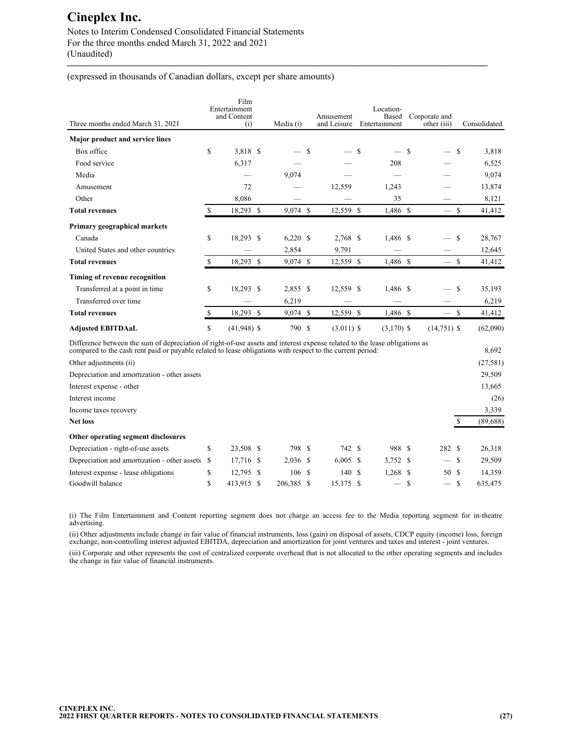Notes to Interim Condensed Consolidated Financial Statements For the three months ended March 31, 2022 and 2021 (Unaudited)

(expressed in thousands of Canadian dollars, except per share amounts)

| Three months ended March 31, 2021                                                                                                                                                                                                        |     | Film<br>Entertainment<br>and Content<br>(i) | Media (i)  |   | Amusement<br>and Leisure |      | Location-<br>Based<br>Entertainment |               | Corporate and<br>other (iii) |               | Consolidated |
|------------------------------------------------------------------------------------------------------------------------------------------------------------------------------------------------------------------------------------------|-----|---------------------------------------------|------------|---|--------------------------|------|-------------------------------------|---------------|------------------------------|---------------|--------------|
| <b>Major product and service lines</b>                                                                                                                                                                                                   |     |                                             |            |   |                          |      |                                     |               |                              |               |              |
| Box office                                                                                                                                                                                                                               | \$  | 3,818 \$                                    |            | S |                          | - \$ | $\overline{\phantom{0}}$            | <sup>\$</sup> | $\overline{\phantom{0}}$     | -S            | 3,818        |
| Food service                                                                                                                                                                                                                             |     | 6,317                                       |            |   |                          |      | 208                                 |               |                              |               | 6,525        |
| Media                                                                                                                                                                                                                                    |     |                                             | 9,074      |   |                          |      |                                     |               |                              |               | 9,074        |
| Amusement                                                                                                                                                                                                                                |     | 72                                          |            |   | 12,559                   |      | 1,243                               |               |                              |               | 13,874       |
| Other                                                                                                                                                                                                                                    |     | 8,086                                       |            |   |                          |      | 35                                  |               |                              |               | 8,121        |
| <b>Total revenues</b>                                                                                                                                                                                                                    | \$. | 18,293 \$                                   | $9,074$ \$ |   | 12,559 \$                |      | 1,486 \$                            |               | $-$ \$                       |               | 41,412       |
| Primary geographical markets                                                                                                                                                                                                             |     |                                             |            |   |                          |      |                                     |               |                              |               |              |
| Canada                                                                                                                                                                                                                                   | \$  | 18,293 \$                                   | $6,220$ \$ |   | 2,768 \$                 |      | 1,486 \$                            |               |                              | - \$          | 28,767       |
| United States and other countries                                                                                                                                                                                                        |     |                                             | 2,854      |   | 9,791                    |      |                                     |               |                              |               | 12,645       |
| <b>Total revenues</b>                                                                                                                                                                                                                    | S   | 18,293 \$                                   | 9,074 \$   |   | 12,559 \$                |      | 1,486 \$                            |               |                              | -S            | 41,412       |
| Timing of revenue recognition                                                                                                                                                                                                            |     |                                             |            |   |                          |      |                                     |               |                              |               |              |
| Transferred at a point in time                                                                                                                                                                                                           | \$  | 18,293 \$                                   | 2,855 \$   |   | 12,559 \$                |      | 1,486 \$                            |               |                              | <sup>\$</sup> | 35,193       |
| Transferred over time                                                                                                                                                                                                                    |     |                                             | 6,219      |   |                          |      |                                     |               |                              |               | 6,219        |
| <b>Total revenues</b>                                                                                                                                                                                                                    | \$  | 18,293 \$                                   | $9,074$ \$ |   | 12,559 \$                |      | $1,486$ \$                          |               | — \$                         |               | 41,412       |
| <b>Adjusted EBITDAaL</b>                                                                                                                                                                                                                 | \$  | $(41,948)$ \$                               | 790 \$     |   | $(3,011)$ \$             |      | $(3,170)$ \$                        |               | $(14,751)$ \$                |               | (62,090)     |
| Difference between the sum of depreciation of right-of-use assets and interest expense related to the lease obligations as<br>compared to the cash rent paid or payable related to lease obligations with respect to the current period: |     |                                             |            |   |                          |      |                                     |               |                              |               | 8.692        |

**—————————————————————————————————————————————**

|                                                   |  |                                                   |                                            |                                             |   |                                 | (27, 581)                          |
|---------------------------------------------------|--|---------------------------------------------------|--------------------------------------------|---------------------------------------------|---|---------------------------------|------------------------------------|
|                                                   |  |                                                   |                                            |                                             |   |                                 | 29,509                             |
|                                                   |  |                                                   |                                            |                                             |   |                                 | 13,665                             |
|                                                   |  |                                                   |                                            |                                             |   |                                 | (26)                               |
|                                                   |  |                                                   |                                            |                                             |   |                                 | 3,339                              |
|                                                   |  |                                                   |                                            |                                             |   |                                 | (89, 688)                          |
|                                                   |  |                                                   |                                            |                                             |   |                                 |                                    |
| \$                                                |  |                                                   |                                            |                                             |   |                                 | 26,318                             |
| Depreciation and amortization - other assets<br>S |  |                                                   |                                            |                                             |   |                                 | 29,509                             |
| \$                                                |  |                                                   |                                            |                                             |   |                                 | 14,359                             |
| \$                                                |  |                                                   |                                            |                                             | S |                                 | 635,475                            |
|                                                   |  | 23,508 \$<br>17,716 \$<br>12,795 \$<br>413,915 \$ | 798 \$<br>$2,036$ \$<br>106S<br>206,385 \$ | 742 \$<br>$6,005$ \$<br>140 \$<br>15,175 \$ |   | 988 S<br>3,752 \$<br>$1,268$ \$ | 282 \$<br>$-$ S<br>50 \$<br>$-$ \$ |

(i) The Film Entertainment and Content reporting segment does not charge an access fee to the Media reporting segment for in-theatre advertising.

(ii) Other adjustments include change in fair value of financial instruments, loss (gain) on disposal of assets, CDCP equity (income) loss, foreign exchange, non-controlling interest adjusted EBITDA, depreciation and amortization for joint ventures and taxes and interest - joint ventures.

(iii) Corporate and other represents the cost of centralized corporate overhead that is not allocated to the other operating segments and includes the change in fair value of financial instruments.